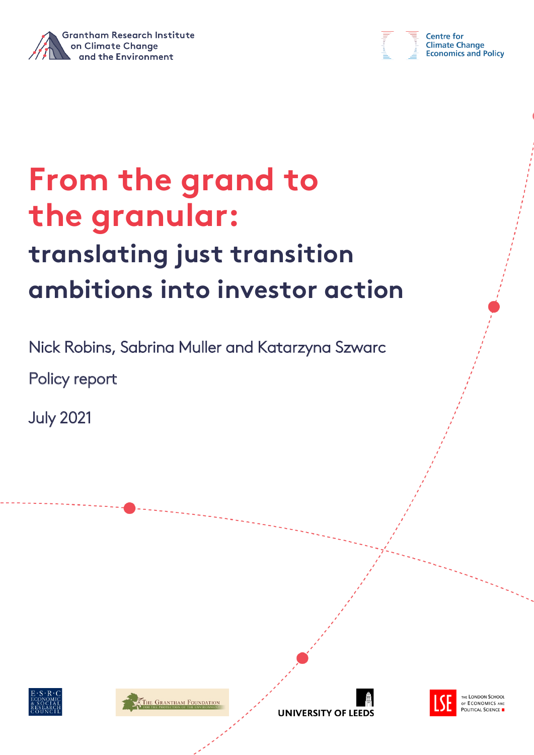



# **From the grand to the granular: translating just transition ambitions into investor action**

Nick Robins, Sabrina Muller and Katarzyna Szwarc

Policy report

July 2021







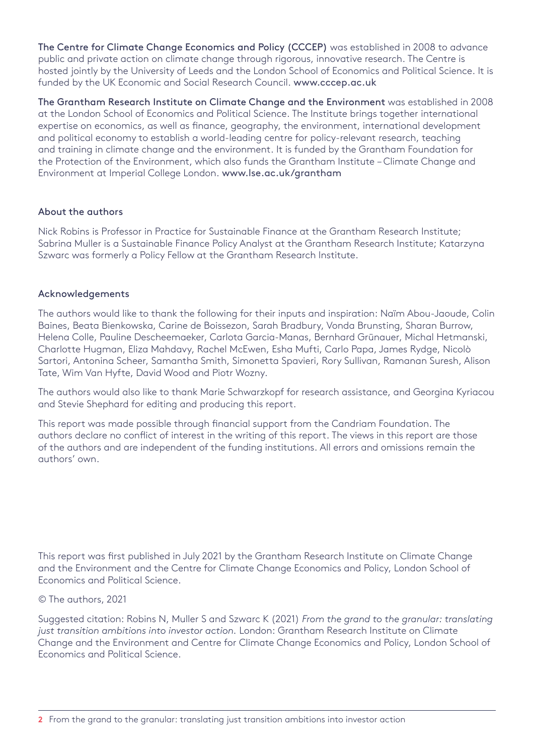The Centre for Climate Change Economics and Policy (CCCEP) was established in 2008 to advance public and private action on climate change through rigorous, innovative research. The Centre is hosted jointly by the University of Leeds and the London School of Economics and Political Science. It is funded by the UK Economic and Social Research Council. [www.cccep.ac.uk](http://www.cccep.ac.uk)

The Grantham Research Institute on Climate Change and the Environment was established in 2008 at the London School of Economics and Political Science. The Institute brings together international expertise on economics, as well as finance, geography, the environment, international development and political economy to establish a world-leading centre for policy-relevant research, teaching and training in climate change and the environment. It is funded by the Grantham Foundation for the Protection of the Environment, which also funds the Grantham Institute – Climate Change and Environment at Imperial College London. <www.lse.ac.uk/grantham>

#### About the authors

Nick Robins is Professor in Practice for Sustainable Finance at the Grantham Research Institute; Sabrina Muller is a Sustainable Finance Policy Analyst at the Grantham Research Institute; Katarzyna Szwarc was formerly a Policy Fellow at the Grantham Research Institute.

#### Acknowledgements

The authors would like to thank the following for their inputs and inspiration: Naïm Abou-Jaoude, Colin Baines, Beata Bienkowska, Carine de Boissezon, Sarah Bradbury, Vonda Brunsting, Sharan Burrow, Helena Colle, Pauline Descheemaeker, Carlota Garcia-Manas, Bernhard Grünauer, Michal Hetmanski, Charlotte Hugman, Eliza Mahdavy, Rachel McEwen, Esha Mufti, Carlo Papa, James Rydge, Nicolò Sartori, Antonina Scheer, Samantha Smith, Simonetta Spavieri, Rory Sullivan, Ramanan Suresh, Alison Tate, Wim Van Hyfte, David Wood and Piotr Wozny.

The authors would also like to thank Marie Schwarzkopf for research assistance, and Georgina Kyriacou and Stevie Shephard for editing and producing this report.

This report was made possible through financial support from the Candriam Foundation. The authors declare no conflict of interest in the writing of this report. The views in this report are those of the authors and are independent of the funding institutions. All errors and omissions remain the authors' own.

This report was first published in July 2021 by the Grantham Research Institute on Climate Change and the Environment and the Centre for Climate Change Economics and Policy, London School of Economics and Political Science.

#### © The authors, 2021

Suggested citation: Robins N, Muller S and Szwarc K (2021) *From the grand to the granular: translating just transition ambitions into investor action.* London: Grantham Research Institute on Climate Change and the Environment and Centre for Climate Change Economics and Policy, London School of Economics and Political Science.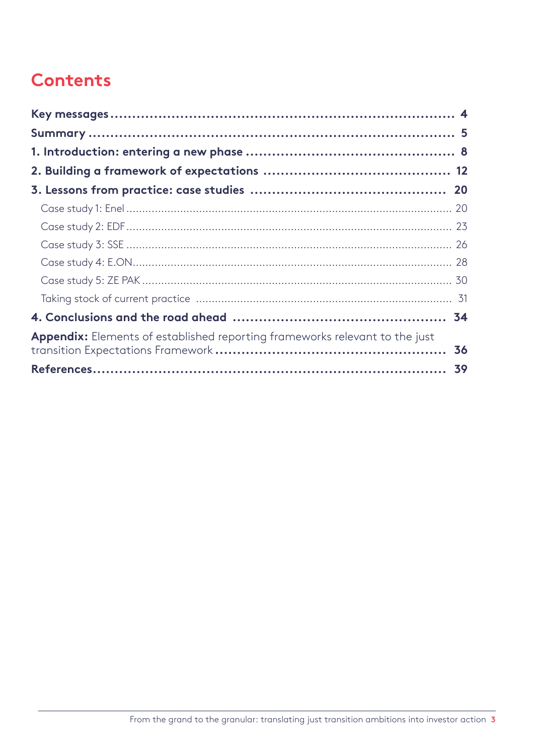## **Contents**

| Appendix: Elements of established reporting frameworks relevant to the just | 36 |
|-----------------------------------------------------------------------------|----|
|                                                                             |    |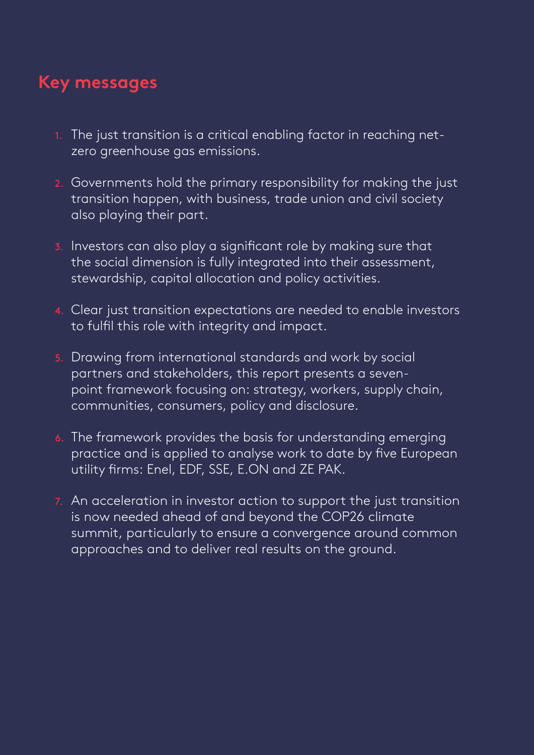## <span id="page-3-0"></span>**Key messages**

- 1. The just transition is a critical enabling factor in reaching netzero greenhouse gas emissions.
- 2. Governments hold the primary responsibility for making the just transition happen, with business, trade union and civil society also playing their part.
- 3. Investors can also play a significant role by making sure that the social dimension is fully integrated into their assessment, stewardship, capital allocation and policy activities.
- 4. Clear just transition expectations are needed to enable investors to fulfil this role with integrity and impact.
- 5. Drawing from international standards and work by social partners and stakeholders, this report presents a sevenpoint framework focusing on: strategy, workers, supply chain, communities, consumers, policy and disclosure.
- 6. The framework provides the basis for understanding emerging practice and is applied to analyse work to date by five European utility firms: Enel, EDF, SSE, E.ON and ZE PAK.
- 7. An acceleration in investor action to support the just transition is now needed ahead of and beyond the COP26 climate summit, particularly to ensure a convergence around common approaches and to deliver real results on the ground.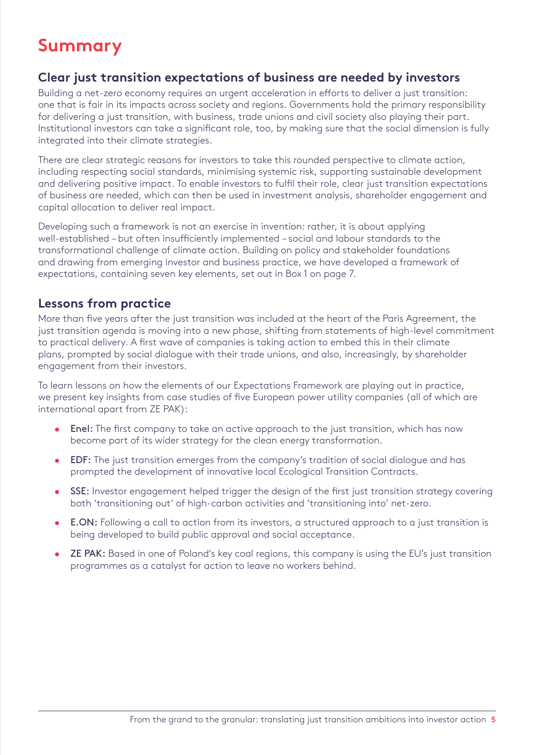## <span id="page-4-0"></span>**Summary**

### **Clear just transition expectations of business are needed by investors**

Building a net-zero economy requires an urgent acceleration in efforts to deliver a just transition: one that is fair in its impacts across society and regions. Governments hold the primary responsibility for delivering a just transition, with business, trade unions and civil society also playing their part. Institutional investors can take a significant role, too, by making sure that the social dimension is fully integrated into their climate strategies.

There are clear strategic reasons for investors to take this rounded perspective to climate action, including respecting social standards, minimising systemic risk, supporting sustainable development and delivering positive impact. To enable investors to fulfil their role, clear just transition expectations of business are needed, which can then be used in investment analysis, shareholder engagement and capital allocation to deliver real impact.

Developing such a framework is not an exercise in invention: rather, it is about applying well-established – but often insufficiently implemented – social and labour standards to the transformational challenge of climate action. Building on policy and stakeholder foundations and drawing from emerging investor and business practice, we have developed a framework of expectations, containing seven key elements, set out in Box 1 on page 7.

### **Lessons from practice**

More than five years after the just transition was included at the heart of the Paris Agreement, the just transition agenda is moving into a new phase, shifting from statements of high-level commitment to practical delivery. A first wave of companies is taking action to embed this in their climate plans, prompted by social dialogue with their trade unions, and also, increasingly, by shareholder engagement from their investors.

To learn lessons on how the elements of our Expectations Framework are playing out in practice, we present key insights from case studies of five European power utility companies (all of which are international apart from ZE PAK):

- Enel: The first company to take an active approach to the just transition, which has now become part of its wider strategy for the clean energy transformation.
- EDF: The just transition emerges from the company's tradition of social dialogue and has prompted the development of innovative local Ecological Transition Contracts.
- SSE: Investor engagement helped trigger the design of the first just transition strategy covering both 'transitioning out' of high-carbon activities and 'transitioning into' net-zero.
- E.ON: Following a call to action from its investors, a structured approach to a just transition is being developed to build public approval and social acceptance.
- ZE PAK: Based in one of Poland's key coal regions, this company is using the EU's just transition programmes as a catalyst for action to leave no workers behind.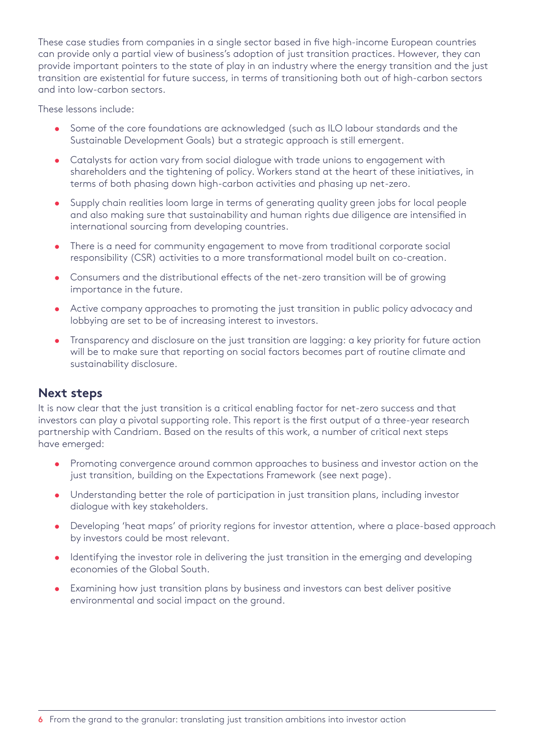These case studies from companies in a single sector based in five high-income European countries can provide only a partial view of business's adoption of just transition practices. However, they can provide important pointers to the state of play in an industry where the energy transition and the just transition are existential for future success, in terms of transitioning both out of high-carbon sectors and into low-carbon sectors.

These lessons include:

- Some of the core foundations are acknowledged (such as ILO labour standards and the Sustainable Development Goals) but a strategic approach is still emergent.
- Catalysts for action vary from social dialogue with trade unions to engagement with shareholders and the tightening of policy. Workers stand at the heart of these initiatives, in terms of both phasing down high-carbon activities and phasing up net-zero.
- Supply chain realities loom large in terms of generating quality green jobs for local people and also making sure that sustainability and human rights due diligence are intensified in international sourcing from developing countries.
- There is a need for community engagement to move from traditional corporate social responsibility (CSR) activities to a more transformational model built on co-creation.
- Consumers and the distributional effects of the net-zero transition will be of growing importance in the future.
- Active company approaches to promoting the just transition in public policy advocacy and lobbying are set to be of increasing interest to investors.
- Transparency and disclosure on the just transition are lagging: a key priority for future action will be to make sure that reporting on social factors becomes part of routine climate and sustainability disclosure.

#### **Next steps**

It is now clear that the just transition is a critical enabling factor for net-zero success and that investors can play a pivotal supporting role. This report is the first output of a three-year research partnership with Candriam. Based on the results of this work, a number of critical next steps have emerged:

- Promoting convergence around common approaches to business and investor action on the just transition, building on the Expectations Framework (see next page).
- Understanding better the role of participation in just transition plans, including investor dialogue with key stakeholders.
- Developing 'heat maps' of priority regions for investor attention, where a place-based approach by investors could be most relevant.
- Identifying the investor role in delivering the just transition in the emerging and developing economies of the Global South.
- Examining how just transition plans by business and investors can best deliver positive environmental and social impact on the ground.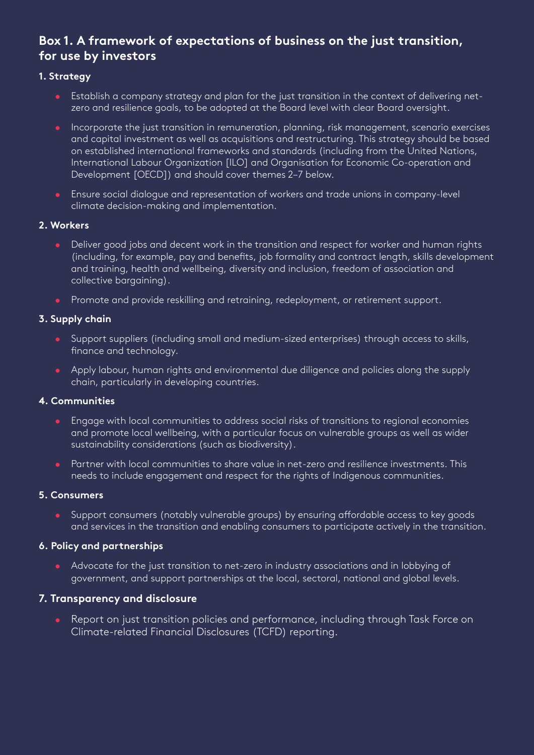## **Box 1. A framework of expectations of business on the just transition, for use by investors**

#### **1. Strategy**

- Establish a company strategy and plan for the just transition in the context of delivering netzero and resilience goals, to be adopted at the Board level with clear Board oversight.
- Incorporate the just transition in remuneration, planning, risk management, scenario exercises and capital investment as well as acquisitions and restructuring. This strategy should be based on established international frameworks and standards (including from the United Nations, International Labour Organization [ILO] and Organisation for Economic Co-operation and Development [OECD]) and should cover themes 2–7 below.
- Ensure social dialogue and representation of workers and trade unions in company-level climate decision-making and implementation.

#### **2. Workers**

- Deliver good jobs and decent work in the transition and respect for worker and human rights (including, for example, pay and benefits, job formality and contract length, skills development and training, health and wellbeing, diversity and inclusion, freedom of association and collective bargaining).
- Promote and provide reskilling and retraining, redeployment, or retirement support.

#### **3. Supply chain**

- Support suppliers (including small and medium-sized enterprises) through access to skills, finance and technology.
- Apply labour, [human rights](https://www.ihrb.org/uploads/reports/Just_Transitions_For_All_-_Business%2C_Human_Rights%2C_and_Climate_Action_-_IHRB_Nov2020.pdf) and environmental due diligence and policies along the supply chain, particularly in developing countries.

#### **4. Communities**

- Engage with local communities to address social risks of transitions to regional economies and promote local wellbeing, with a particular focus on vulnerable groups as well as wider sustainability considerations (such as biodiversity).
- **•** Partner with local communities to share value in net-zero and resilience investments. This needs to include engagement and respect for the rights of Indigenous communities.

#### **5. Consumers**

• Support consumers (notably vulnerable groups) by ensuring affordable access to key goods and services in the transition and enabling consumers to participate actively in the transition.

#### **6. Policy and partnerships**

• Advocate for the just transition to net-zero in industry associations and in lobbying of government, and support partnerships at the local, sectoral, national and global levels.

#### **7. Transparency and disclosure**

• Report on just transition policies and performance, including through Task Force on Climate-related Financial Disclosures (TCFD) reporting.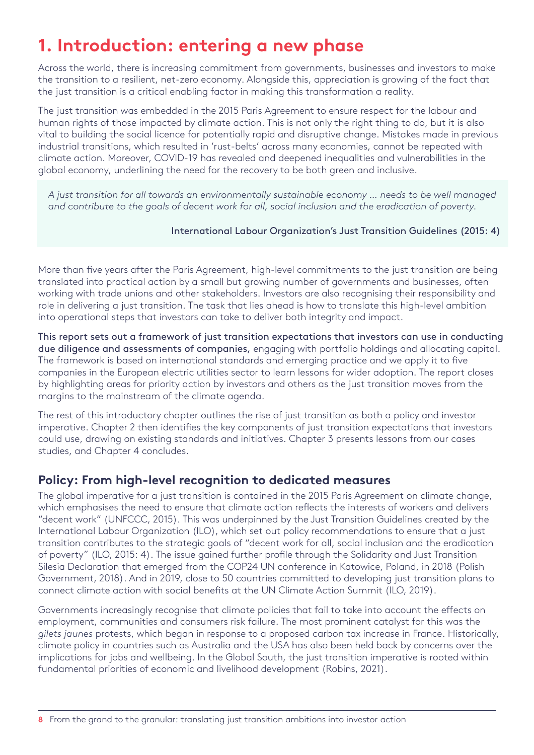## <span id="page-7-0"></span>**1. Introduction: entering a new phase**

Across the world, there is increasing commitment from governments, businesses and investors to make the transition to a resilient, net-zero economy. Alongside this, appreciation is growing of the fact that the just transition is a critical enabling factor in making this transformation a reality.

The just transition was embedded in the 2015 Paris Agreement to ensure respect for the labour and human rights of those impacted by climate action. This is not only the right thing to do, but it is also vital to building the social licence for potentially rapid and disruptive change. Mistakes made in previous industrial transitions, which resulted in 'rust-belts' across many economies, cannot be repeated with climate action. Moreover, COVID-19 has revealed and deepened inequalities and vulnerabilities in the global economy, underlining the need for the recovery to be both green and inclusive.

*A just transition for all towards an environmentally sustainable economy … needs to be well managed and contribute to the goals of decent work for all, social inclusion and the eradication of poverty.* 

#### International Labour Organization's Just Transition Guidelines (2015: 4)

More than five years after the Paris Agreement, high-level commitments to the just transition are being translated into practical action by a small but growing number of governments and businesses, often working with trade unions and other stakeholders. Investors are also recognising their responsibility and role in delivering a just transition. The task that lies ahead is how to translate this high-level ambition into operational steps that investors can take to deliver both integrity and impact.

This report sets out a framework of just transition expectations that investors can use in conducting due diligence and assessments of companies, engaging with portfolio holdings and allocating capital. The framework is based on international standards and emerging practice and we apply it to five companies in the European electric utilities sector to learn lessons for wider adoption. The report closes by highlighting areas for priority action by investors and others as the just transition moves from the margins to the mainstream of the climate agenda.

The rest of this introductory chapter outlines the rise of just transition as both a policy and investor imperative. Chapter 2 then identifies the key components of just transition expectations that investors could use, drawing on existing standards and initiatives. Chapter 3 presents lessons from our cases studies, and Chapter 4 concludes.

### **Policy: From high-level recognition to dedicated measures**

The global imperative for a just transition is contained in the 2015 Paris Agreement on climate change, which emphasises the need to ensure that climate action reflects the interests of workers and delivers "decent work" (UNFCCC, 2015). This was underpinned by the Just Transition Guidelines created by the International Labour Organization (ILO), which set out policy recommendations to ensure that a just transition contributes to the strategic goals of "decent work for all, social inclusion and the eradication of poverty" (ILO, 2015: 4). The issue gained further profile through the Solidarity and Just Transition Silesia Declaration that emerged from the COP24 UN conference in Katowice, Poland, in 2018 (Polish Government, 2018). And in 2019, close to 50 countries committed to developing just transition plans to connect climate action with social benefits at the UN Climate Action Summit (ILO, 2019).

Governments increasingly recognise that climate policies that fail to take into account the effects on employment, communities and consumers risk failure. The most prominent catalyst for this was the *gilets jaunes* protests, which began in response to a proposed carbon tax increase in France. Historically, climate policy in countries such as Australia and the USA has also been held back by concerns over the implications for jobs and wellbeing. In the Global South, the just transition imperative is rooted within fundamental priorities of economic and livelihood development (Robins, 2021).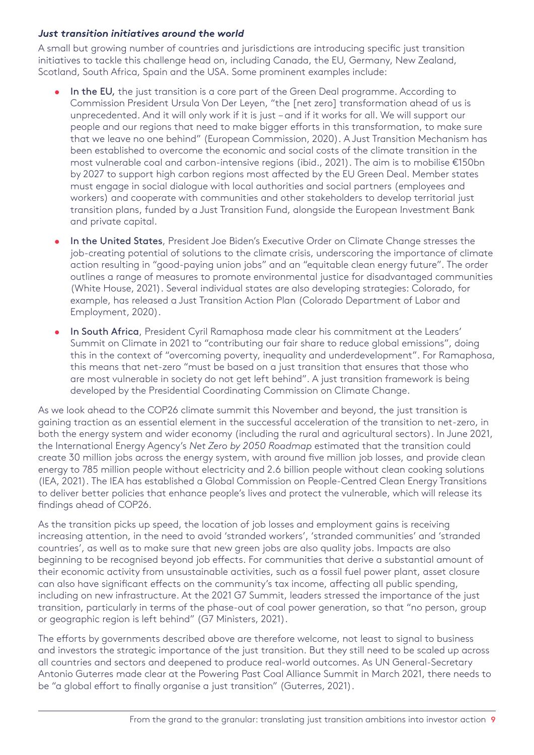#### *Just transition initiatives around the world*

A small but growing number of countries and jurisdictions are introducing specific just transition initiatives to tackle this challenge head on, including Canada, the EU, Germany, New Zealand, Scotland, South Africa, Spain and the USA. Some prominent examples include:

- In the EU, the just transition is a core part of the Green Deal programme. According to Commission President Ursula Von Der Leyen, "the [net zero] transformation ahead of us is unprecedented. And it will only work if it is just – and if it works for all. We will support our people and our regions that need to make bigger efforts in this transformation, to make sure that we leave no one behind" (European Commission, 2020). A Just Transition Mechanism has been established to overcome the economic and social costs of the climate transition in the most vulnerable coal and carbon-intensive regions (ibid., 2021). The aim is to mobilise €150bn by 2027 to support high carbon regions most affected by the EU Green Deal. Member states must engage in social dialogue with local authorities and social partners (employees and workers) and cooperate with communities and other stakeholders to develop territorial just transition plans, funded by a Just Transition Fund, alongside the European Investment Bank and private capital.
- In the United States, President Joe Biden's Executive Order on Climate Change stresses the job-creating potential of solutions to the climate crisis, underscoring the importance of climate action resulting in "good-paying union jobs" and an "equitable clean energy future". The order outlines a range of measures to promote environmental justice for disadvantaged communities (White House, 2021). Several individual states are also developing strategies: Colorado, for example, has released a Just Transition Action Plan (Colorado Department of Labor and Employment, 2020).
- In South Africa, President Cyril Ramaphosa made clear his commitment at the Leaders' Summit on Climate in 2021 to "contributing our fair share to reduce global emissions", doing this in the context of "overcoming poverty, inequality and underdevelopment". For Ramaphosa, this means that net-zero "must be based on a just transition that ensures that those who are most vulnerable in society do not get left behind". A just transition framework is being developed by the Presidential Coordinating Commission on Climate Change.

As we look ahead to the COP26 climate summit this November and beyond, the just transition is gaining traction as an essential element in the successful acceleration of the transition to net-zero, in both the energy system and wider economy (including the rural and agricultural sectors). In June 2021, the International Energy Agency's *Net Zero by 2050 Roadmap* estimated that the transition could create 30 million jobs across the energy system, with around five million job losses, and provide clean energy to 785 million people without electricity and 2.6 billion people without clean cooking solutions (IEA, 2021). The IEA has established a Global Commission on People-Centred Clean Energy Transitions to deliver better policies that enhance people's lives and protect the vulnerable, which will release its findings ahead of COP26.

As the transition picks up speed, the location of job losses and employment gains is receiving increasing attention, in the need to avoid 'stranded workers', 'stranded communities' and 'stranded countries', as well as to make sure that new green jobs are also quality jobs. Impacts are also beginning to be recognised beyond job effects. For communities that derive a substantial amount of their economic activity from unsustainable activities, such as a fossil fuel power plant, asset closure can also have significant effects on the community's tax income, affecting all public spending, including on new infrastructure. At the 2021 G7 Summit, leaders stressed the importance of the just transition, particularly in terms of the phase-out of coal power generation, so that "no person, group or geographic region is left behind" (G7 Ministers, 2021).

The efforts by governments described above are therefore welcome, not least to signal to business and investors the strategic importance of the just transition. But they still need to be scaled up across all countries and sectors and deepened to produce real-world outcomes. As UN General-Secretary Antonio Guterres made clear at the Powering Past Coal Alliance Summit in March 2021, there needs to be "a global effort to finally organise a just transition" (Guterres, 2021).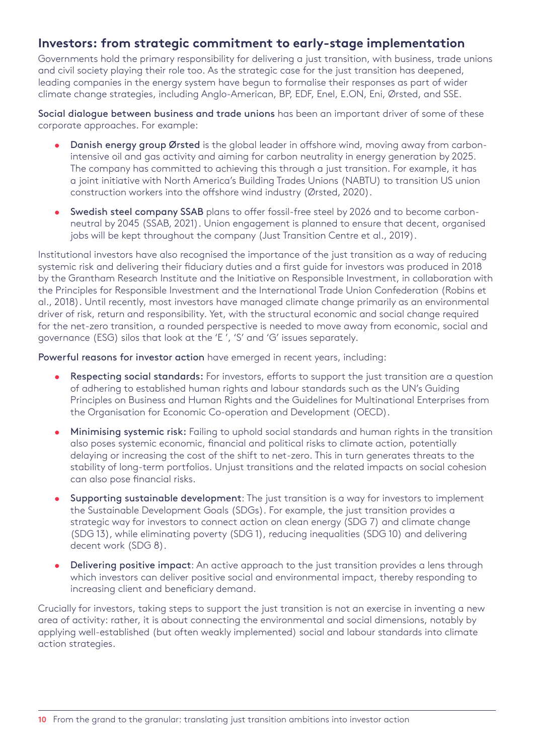### **Investors: from strategic commitment to early-stage implementation**

Governments hold the primary responsibility for delivering a just transition, with business, trade unions and civil society playing their role too. As the strategic case for the just transition has deepened, leading companies in the energy system have begun to formalise their responses as part of wider climate change strategies, including Anglo-American, BP, EDF, Enel, E.ON, Eni, Ørsted, and SSE.

Social dialogue between business and trade unions has been an important driver of some of these corporate approaches. For example:

- Danish energy group Ørsted is the global leader in offshore wind, moving away from carbonintensive oil and gas activity and aiming for carbon neutrality in energy generation by 2025. The company has committed to achieving this through a just transition. For example, it has a joint initiative with North America's Building Trades Unions (NABTU) to transition US union construction workers into the offshore wind industry (Ørsted, 2020).
- Swedish steel company SSAB plans to offer fossil-free steel by 2026 and to become carbonneutral by 2045 (SSAB, 2021). Union engagement is planned to ensure that decent, organised jobs will be kept throughout the company (Just Transition Centre et al., 2019).

Institutional investors have also recognised the importance of the just transition as a way of reducing systemic risk and delivering their fiduciary duties and a first guide for investors was produced in 2018 by the Grantham Research Institute and the Initiative on Responsible Investment, in collaboration with the Principles for Responsible Investment and the International Trade Union Confederation (Robins et al., 2018). Until recently, most investors have managed climate change primarily as an environmental driver of risk, return and responsibility. Yet, with the structural economic and social change required for the net-zero transition, a rounded perspective is needed to move away from economic, social and governance (ESG) silos that look at the 'E ', 'S' and 'G' issues separately.

Powerful reasons for investor action have emerged in recent years, including:

- Respecting social standards: For investors, efforts to support the just transition are a question of adhering to established human rights and labour standards such as the UN's Guiding Principles on Business and Human Rights and the Guidelines for Multinational Enterprises from the Organisation for Economic Co-operation and Development (OECD).
- Minimising systemic risk: Failing to uphold social standards and human rights in the transition also poses systemic economic, financial and political risks to climate action, potentially delaying or increasing the cost of the shift to net-zero. This in turn generates threats to the stability of long-term portfolios. Unjust transitions and the related impacts on social cohesion can also pose financial risks.
- Supporting sustainable development: The just transition is a way for investors to implement the Sustainable Development Goals (SDGs). For example, the just transition provides a strategic way for investors to connect action on clean energy (SDG 7) and climate change (SDG 13), while eliminating poverty (SDG 1), reducing inequalities (SDG 10) and delivering decent work (SDG 8).
- Delivering positive impact: An active approach to the just transition provides a lens through which investors can deliver positive social and environmental impact, thereby responding to increasing client and beneficiary demand.

Crucially for investors, taking steps to support the just transition is not an exercise in inventing a new area of activity: rather, it is about connecting the environmental and social dimensions, notably by applying well-established (but often weakly implemented) social and labour standards into climate action strategies.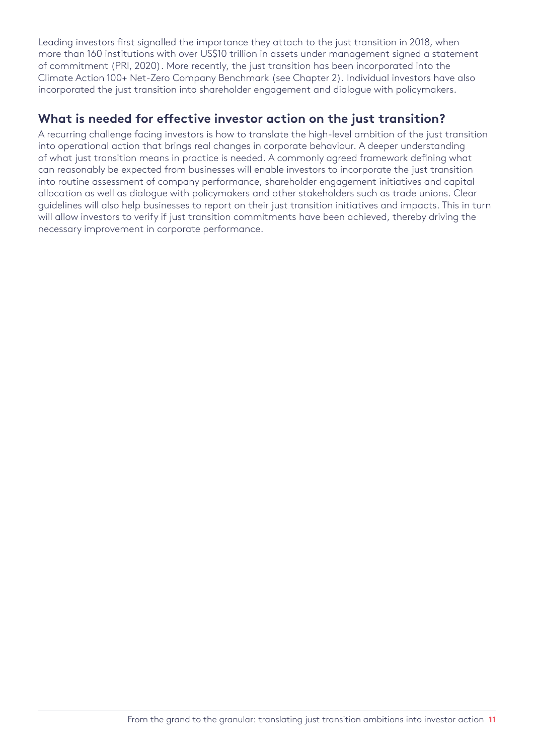Leading investors first signalled the importance they attach to the just transition in 2018, when more than 160 institutions with over US\$10 trillion in assets under management signed a statement of commitment (PRI, 2020). More recently, the just transition has been incorporated into the Climate Action 100+ Net-Zero Company Benchmark (see Chapter 2). Individual investors have also incorporated the just transition into shareholder engagement and dialogue with policymakers.

## **What is needed for effective investor action on the just transition?**

A recurring challenge facing investors is how to translate the high-level ambition of the just transition into operational action that brings real changes in corporate behaviour. A deeper understanding of what just transition means in practice is needed. A commonly agreed framework defining what can reasonably be expected from businesses will enable investors to incorporate the just transition into routine assessment of company performance, shareholder engagement initiatives and capital allocation as well as dialogue with policymakers and other stakeholders such as trade unions. Clear guidelines will also help businesses to report on their just transition initiatives and impacts. This in turn will allow investors to verify if just transition commitments have been achieved, thereby driving the necessary improvement in corporate performance.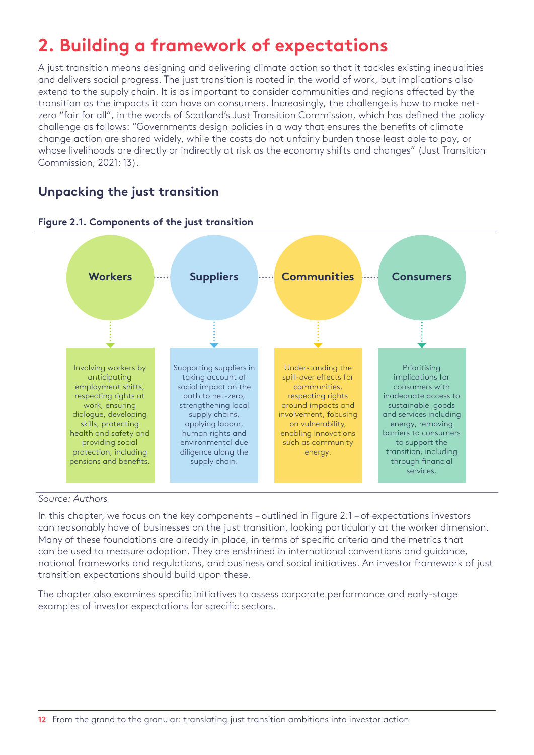## <span id="page-11-0"></span>**2. Building a framework of expectations**

A just transition means designing and delivering climate action so that it tackles existing inequalities and delivers social progress. The just transition is rooted in the world of work, but implications also extend to the supply chain. It is as important to consider communities and regions affected by the transition as the impacts it can have on consumers. Increasingly, the challenge is how to make netzero "fair for all", in the words of Scotland's Just Transition Commission, which has defined the policy challenge as follows: "Governments design policies in a way that ensures the benefits of climate change action are shared widely, while the costs do not unfairly burden those least able to pay, or whose livelihoods are directly or indirectly at risk as the economy shifts and changes" (Just Transition Commission, 2021: 13).

## **Unpacking the just transition**





#### *Source: Authors*

In this chapter, we focus on the key components – outlined in Figure 2.1 – of expectations investors can reasonably have of businesses on the just transition, looking particularly at the worker dimension. Many of these foundations are already in place, in terms of specific criteria and the metrics that can be used to measure adoption. They are enshrined in international conventions and guidance, national frameworks and regulations, and business and social initiatives. An investor framework of just transition expectations should build upon these.

The chapter also examines specific initiatives to assess corporate performance and early-stage examples of investor expectations for specific sectors.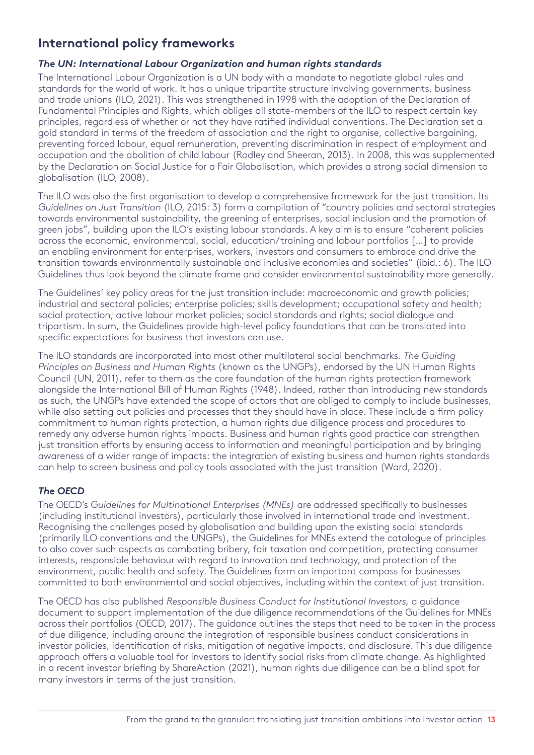## **International policy frameworks**

#### *The UN: International Labour Organization and human rights standards*

The International Labour Organization is a UN body with a mandate to negotiate global rules and standards for the world of work. It has a unique tripartite structure involving governments, business and trade unions (ILO, 2021). This was strengthened in 1998 with the adoption of the Declaration of Fundamental Principles and Rights, which obliges all state-members of the ILO to respect certain key principles, regardless of whether or not they have ratified individual conventions. The Declaration set a gold standard in terms of the freedom of association and the right to organise, collective bargaining, preventing forced labour, equal remuneration, preventing discrimination in respect of employment and occupation and the abolition of child labour (Rodley and Sheeran, 2013). In 2008, this was supplemented by the Declaration on Social Justice for a Fair Globalisation, which provides a strong social dimension to globalisation (ILO, 2008).

The ILO was also the first organisation to develop a comprehensive framework for the just transition. Its *Guidelines on Just Transition* (ILO, 2015: 3) form a compilation of "country policies and sectoral strategies towards environmental sustainability, the greening of enterprises, social inclusion and the promotion of green jobs", building upon the ILO's existing labour standards. A key aim is to ensure "coherent policies across the economic, environmental, social, education/training and labour portfolios […] to provide an enabling environment for enterprises, workers, investors and consumers to embrace and drive the transition towards environmentally sustainable and inclusive economies and societies" (ibid.: 6). The ILO Guidelines thus look beyond the climate frame and consider environmental sustainability more generally.

The Guidelines' key policy areas for the just transition include: macroeconomic and growth policies; industrial and sectoral policies; enterprise policies; skills development; occupational safety and health; social protection; active labour market policies; social standards and rights; social dialogue and tripartism. In sum, the Guidelines provide high-level policy foundations that can be translated into specific expectations for business that investors can use.

The ILO standards are incorporated into most other multilateral social benchmarks. *The Guiding Principles on Business and Human Rights* (known as the UNGPs), endorsed by the UN Human Rights Council (UN, 2011), refer to them as the core foundation of the human rights protection framework alongside the International Bill of Human Rights (1948). Indeed, rather than introducing new standards as such, the UNGPs have extended the scope of actors that are obliged to comply to include businesses, while also setting out policies and processes that they should have in place. These include a firm policy commitment to human rights protection, a human rights due diligence process and procedures to remedy any adverse human rights impacts. Business and human rights good practice can strengthen just transition efforts by ensuring access to information and meaningful participation and by bringing awareness of a wider range of impacts: the integration of existing business and human rights standards can help to screen business and policy tools associated with the just transition (Ward, 2020).

#### *The OECD*

The OECD's *Guidelines for Multinational Enterprises (MNEs)* are addressed specifically to businesses (including institutional investors), particularly those involved in international trade and investment. Recognising the challenges posed by globalisation and building upon the existing social standards (primarily ILO conventions and the UNGPs), the Guidelines for MNEs extend the catalogue of principles to also cover such aspects as combating bribery, fair taxation and competition, protecting consumer interests, responsible behaviour with regard to innovation and technology, and protection of the environment, public health and safety. The Guidelines form an important compass for businesses committed to both environmental and social objectives, including within the context of just transition.

The OECD has also published *Responsible Business Conduct for Institutional Investors,* a guidance document to support implementation of the due diligence recommendations of the Guidelines for MNEs across their portfolios (OECD, 2017). The guidance outlines the steps that need to be taken in the process of due diligence, including around the integration of responsible business conduct considerations in investor policies, identification of risks, mitigation of negative impacts, and disclosure. This due diligence approach offers a valuable tool for investors to identify social risks from climate change. As highlighted in a recent investor briefing by ShareAction (2021), human rights due diligence can be a blind spot for many investors in terms of the just transition.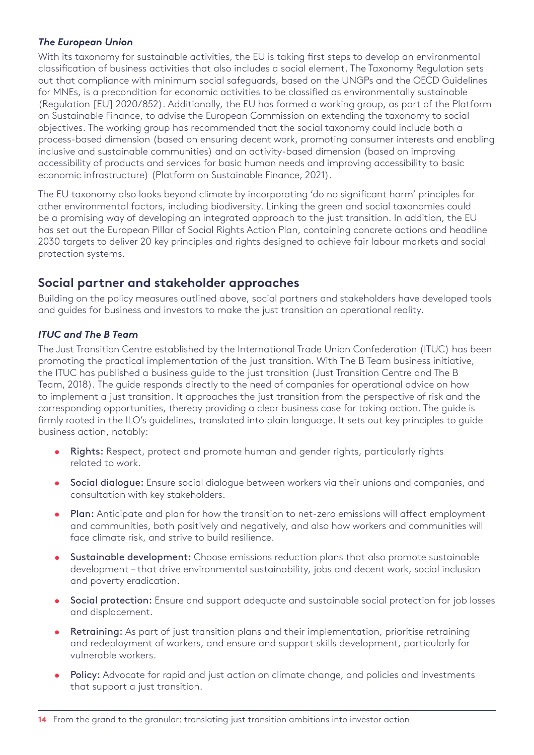#### *The European Union*

With its taxonomy for sustainable activities, the EU is taking first steps to develop an environmental classification of business activities that also includes a social element. The Taxonomy Regulation sets out that compliance with minimum social safeguards, based on the UNGPs and the OECD Guidelines for MNEs, is a precondition for economic activities to be classified as environmentally sustainable (Regulation [EU] 2020/852). Additionally, the EU has formed a working group, as part of the Platform on Sustainable Finance, to advise the European Commission on extending the taxonomy to social objectives. The working group has recommended that the social taxonomy could include both a process-based dimension (based on ensuring decent work, promoting consumer interests and enabling inclusive and sustainable communities) and an activity-based dimension (based on improving accessibility of products and services for basic human needs and improving accessibility to basic economic infrastructure) (Platform on Sustainable Finance, 2021).

The EU taxonomy also looks beyond climate by incorporating 'do no significant harm' principles for other environmental factors, including biodiversity. Linking the green and social taxonomies could be a promising way of developing an integrated approach to the just transition. In addition, the EU has set out the European Pillar of Social Rights Action Plan, containing concrete actions and headline 2030 targets to deliver 20 key principles and rights designed to achieve fair labour markets and social protection systems.

### **Social partner and stakeholder approaches**

Building on the policy measures outlined above, social partners and stakeholders have developed tools and guides for business and investors to make the just transition an operational reality.

#### *ITUC and The B Team*

The Just Transition Centre established by the International Trade Union Confederation (ITUC) has been promoting the practical implementation of the just transition. With The B Team business initiative, the ITUC has published a business guide to the just transition (Just Transition Centre and The B Team, 2018). The guide responds directly to the need of companies for operational advice on how to implement a just transition. It approaches the just transition from the perspective of risk and the corresponding opportunities, thereby providing a clear business case for taking action. The guide is firmly rooted in the ILO's guidelines, translated into plain language. It sets out key principles to guide business action, notably:

- Rights: Respect, protect and promote human and gender rights, particularly rights related to work.
- Social dialogue: Ensure social dialogue between workers via their unions and companies, and consultation with key stakeholders.
- Plan: Anticipate and plan for how the transition to net-zero emissions will affect employment and communities, both positively and negatively, and also how workers and communities will face climate risk, and strive to build resilience.
- Sustainable development: Choose emissions reduction plans that also promote sustainable development – that drive environmental sustainability, jobs and decent work, social inclusion and poverty eradication.
- Social protection: Ensure and support adequate and sustainable social protection for job losses and displacement.
- Retraining: As part of just transition plans and their implementation, prioritise retraining and redeployment of workers, and ensure and support skills development, particularly for vulnerable workers.
- Policy: Advocate for rapid and just action on climate change, and policies and investments that support a just transition.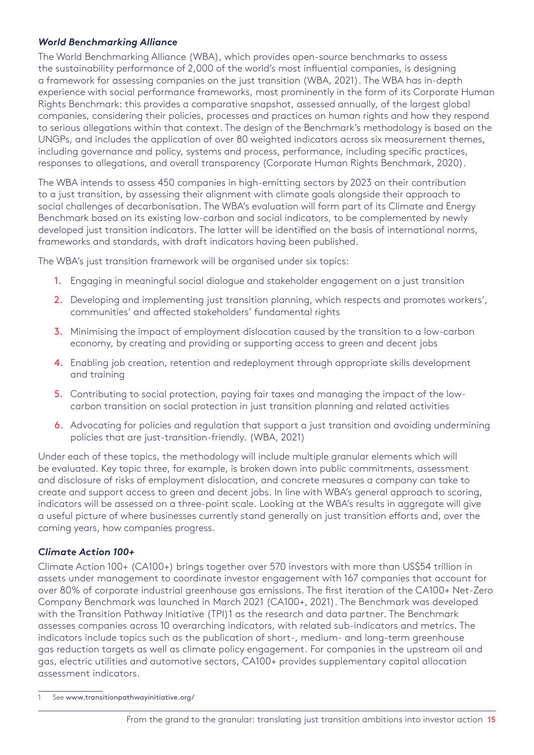#### *World Benchmarking Alliance*

The World Benchmarking Alliance (WBA), which provides open-source benchmarks to assess the sustainability performance of 2,000 of the world's most influential companies, is designing a framework for assessing companies on the just transition (WBA, 2021). The WBA has in-depth experience with social performance frameworks, most prominently in the form of its Corporate Human Rights Benchmark: this provides a comparative snapshot, assessed annually, of the largest global companies, considering their policies, processes and practices on human rights and how they respond to serious allegations within that context. The design of the Benchmark's methodology is based on the UNGPs, and includes the application of over 80 weighted indicators across six measurement themes, including governance and policy, systems and process, performance, including specific practices, responses to allegations, and overall transparency (Corporate Human Rights Benchmark, 2020).

The WBA intends to assess 450 companies in high-emitting sectors by 2023 on their contribution to a just transition, by assessing their alignment with climate goals alongside their approach to social challenges of decarbonisation. The WBA's evaluation will form part of its Climate and Energy Benchmark based on its existing low-carbon and social indicators, to be complemented by newly developed just transition indicators. The latter will be identified on the basis of international norms, frameworks and standards, with draft indicators having been published.

The WBA's just transition framework will be organised under six topics:

- 1. Engaging in meaningful social dialogue and stakeholder engagement on a just transition
- 2. Developing and implementing just transition planning, which respects and promotes workers', communities' and affected stakeholders' fundamental rights
- 3. Minimising the impact of employment dislocation caused by the transition to a low-carbon economy, by creating and providing or supporting access to green and decent jobs
- 4. Enabling job creation, retention and redeployment through appropriate skills development and training
- 5. Contributing to social protection, paying fair taxes and managing the impact of the lowcarbon transition on social protection in just transition planning and related activities
- 6. Advocating for policies and regulation that support a just transition and avoiding undermining policies that are just-transition-friendly. (WBA, 2021)

Under each of these topics, the methodology will include multiple granular elements which will be evaluated. Key topic three, for example, is broken down into public commitments, assessment and disclosure of risks of employment dislocation, and concrete measures a company can take to create and support access to green and decent jobs. In line with WBA's general approach to scoring, indicators will be assessed on a three-point scale. Looking at the WBA's results in aggregate will give a useful picture of where businesses currently stand generally on just transition efforts and, over the coming years, how companies progress.

#### *Climate Action 100+*

Climate Action 100+ (CA100+) brings together over 570 investors with more than US\$54 trillion in assets under management to coordinate investor engagement with 167 companies that account for over 80% of corporate industrial greenhouse gas emissions. The first iteration of the CA100+ Net-Zero Company Benchmark was launched in March 2021 (CA100+, 2021). The Benchmark was developed with the Transition Pathway Initiative (TPI)1 as the research and data partner. The Benchmark assesses companies across 10 overarching indicators, with related sub-indicators and metrics. The indicators include topics such as the publication of short-, medium- and long-term greenhouse gas reduction targets as well as climate policy engagement. For companies in the upstream oil and gas, electric utilities and automotive sectors, CA100+ provides supplementary capital allocation assessment indicators.

<sup>1</sup> See [www.transitionpathwayinitiative.org/](http://www.transitionpathwayinitiative.org/)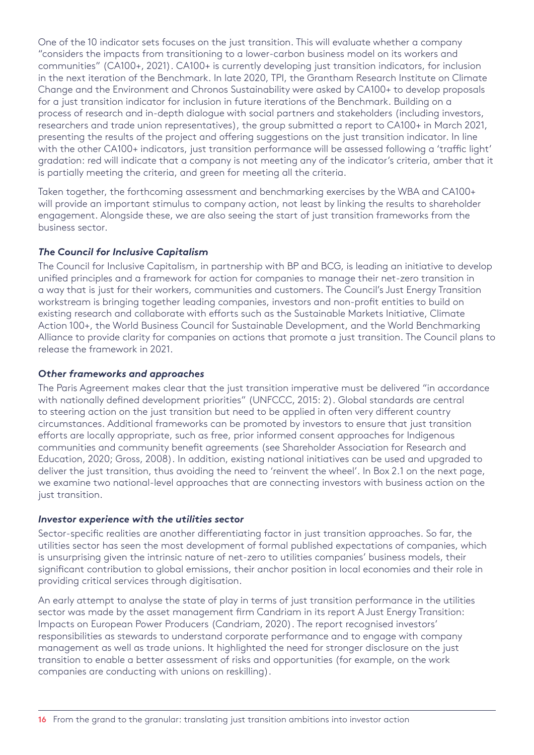One of the 10 indicator sets focuses on the just transition. This will evaluate whether a company "considers the impacts from transitioning to a lower-carbon business model on its workers and communities" (CA100+, 2021). CA100+ is currently developing just transition indicators, for inclusion in the next iteration of the Benchmark. In late 2020, TPI, the Grantham Research Institute on Climate Change and the Environment and Chronos Sustainability were asked by CA100+ to develop proposals for a just transition indicator for inclusion in future iterations of the Benchmark. Building on a process of research and in-depth dialogue with social partners and stakeholders (including investors, researchers and trade union representatives), the group submitted a report to CA100+ in March 2021, presenting the results of the project and offering suggestions on the just transition indicator. In line with the other CA100+ indicators, just transition performance will be assessed following a 'traffic light' gradation: red will indicate that a company is not meeting any of the indicator's criteria, amber that it is partially meeting the criteria, and green for meeting all the criteria.

Taken together, the forthcoming assessment and benchmarking exercises by the WBA and CA100+ will provide an important stimulus to company action, not least by linking the results to shareholder engagement. Alongside these, we are also seeing the start of just transition frameworks from the business sector.

#### *The Council for Inclusive Capitalism*

The Council for Inclusive Capitalism, in partnership with BP and BCG, is leading an initiative to develop unified principles and a framework for action for companies to manage their net-zero transition in a way that is just for their workers, communities and customers. The Council's Just Energy Transition workstream is bringing together leading companies, investors and non-profit entities to build on existing research and collaborate with efforts such as the Sustainable Markets Initiative, Climate Action 100+, the World Business Council for Sustainable Development, and the World Benchmarking Alliance to provide clarity for companies on actions that promote a just transition. The Council plans to release the framework in 2021.

#### *Other frameworks and approaches*

The Paris Agreement makes clear that the just transition imperative must be delivered "in accordance with nationally defined development priorities" (UNFCCC, 2015: 2). Global standards are central to steering action on the just transition but need to be applied in often very different country circumstances. Additional frameworks can be promoted by investors to ensure that just transition efforts are locally appropriate, such as free, prior informed consent approaches for Indigenous communities and community benefit agreements (see Shareholder Association for Research and Education, 2020; Gross, 2008). In addition, existing national initiatives can be used and upgraded to deliver the just transition, thus avoiding the need to 'reinvent the wheel'. In Box 2.1 on the next page, we examine two national-level approaches that are connecting investors with business action on the just transition.

#### *Investor experience with the utilities sector*

Sector-specific realities are another differentiating factor in just transition approaches. So far, the utilities sector has seen the most development of formal published expectations of companies, which is unsurprising given the intrinsic nature of net-zero to utilities companies' business models, their significant contribution to global emissions, their anchor position in local economies and their role in providing critical services through digitisation.

An early attempt to analyse the state of play in terms of just transition performance in the utilities sector was made by the asset management firm Candriam in its report A Just Energy Transition: Impacts on European Power Producers (Candriam, 2020). The report recognised investors' responsibilities as stewards to understand corporate performance and to engage with company management as well as trade unions. It highlighted the need for stronger disclosure on the just transition to enable a better assessment of risks and opportunities (for example, on the work companies are conducting with unions on reskilling).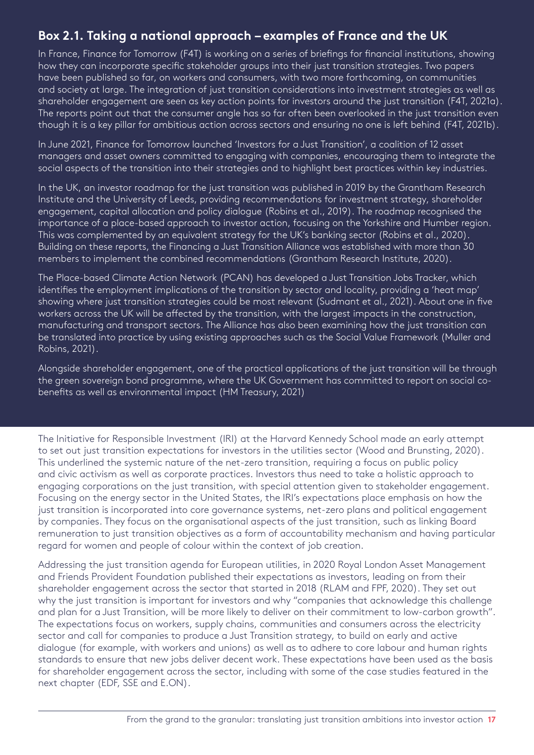## **Box 2.1. Taking a national approach – examples of France and the UK**

In France, Finance for Tomorrow (F4T) is working on a series of briefings for financial institutions, showing how they can incorporate specific stakeholder groups into their just transition strategies. Two papers have been published so far, on workers and consumers, with two more forthcoming, on communities and society at large. The integration of just transition considerations into investment strategies as well as shareholder engagement are seen as key action points for investors around the just transition (F4T, 2021a). The reports point out that the consumer angle has so far often been overlooked in the just transition even though it is a key pillar for ambitious action across sectors and ensuring no one is left behind (F4T, 2021b).

In June 2021, Finance for Tomorrow launched 'Investors for a Just Transition', a coalition of 12 asset managers and asset owners committed to engaging with companies, encouraging them to integrate the social aspects of the transition into their strategies and to highlight best practices within key industries.

In the UK, an investor roadmap for the just transition was published in 2019 by the Grantham Research Institute and the University of Leeds, providing recommendations for investment strategy, shareholder engagement, capital allocation and policy dialogue (Robins et al., 2019). The roadmap recognised the importance of a place-based approach to investor action, focusing on the Yorkshire and Humber region. This was complemented by an equivalent strategy for the UK's banking sector (Robins et al., 2020). Building on these reports, the Financing a Just Transition Alliance was established with more than 30 members to implement the combined recommendations (Grantham Research Institute, 2020).

The Place-based Climate Action Network (PCAN) has developed a Just Transition Jobs Tracker, which identifies the employment implications of the transition by sector and locality, providing a 'heat map' showing where just transition strategies could be most relevant (Sudmant et al., 2021). About one in five workers across the UK will be affected by the transition, with the largest impacts in the construction, manufacturing and transport sectors. The Alliance has also been examining how the just transition can be translated into practice by using existing approaches such as the Social Value Framework (Muller and Robins, 2021).

Alongside shareholder engagement, one of the practical applications of the just transition will be through the green sovereign bond programme, where the UK Government has committed to report on social cobenefits as well as environmental impact (HM Treasury, 2021)

The Initiative for Responsible Investment (IRI) at the Harvard Kennedy School made an early attempt to set out just transition expectations for investors in the utilities sector (Wood and Brunsting, 2020). This underlined the systemic nature of the net-zero transition, requiring a focus on public policy and civic activism as well as corporate practices. Investors thus need to take a holistic approach to engaging corporations on the just transition, with special attention given to stakeholder engagement. Focusing on the energy sector in the United States, the IRI's expectations place emphasis on how the just transition is incorporated into core governance systems, net-zero plans and political engagement by companies. They focus on the organisational aspects of the just transition, such as linking Board remuneration to just transition objectives as a form of accountability mechanism and having particular regard for women and people of colour within the context of job creation.

Addressing the just transition agenda for European utilities, in 2020 Royal London Asset Management and Friends Provident Foundation published their expectations as investors, leading on from their shareholder engagement across the sector that started in 2018 (RLAM and FPF, 2020). They set out why the just transition is important for investors and why "companies that acknowledge this challenge and plan for a Just Transition, will be more likely to deliver on their commitment to low-carbon growth". The expectations focus on workers, supply chains, communities and consumers across the electricity sector and call for companies to produce a Just Transition strategy, to build on early and active dialogue (for example, with workers and unions) as well as to adhere to core labour and human rights standards to ensure that new jobs deliver decent work. These expectations have been used as the basis for shareholder engagement across the sector, including with some of the case studies featured in the next chapter (EDF, SSE and E.ON).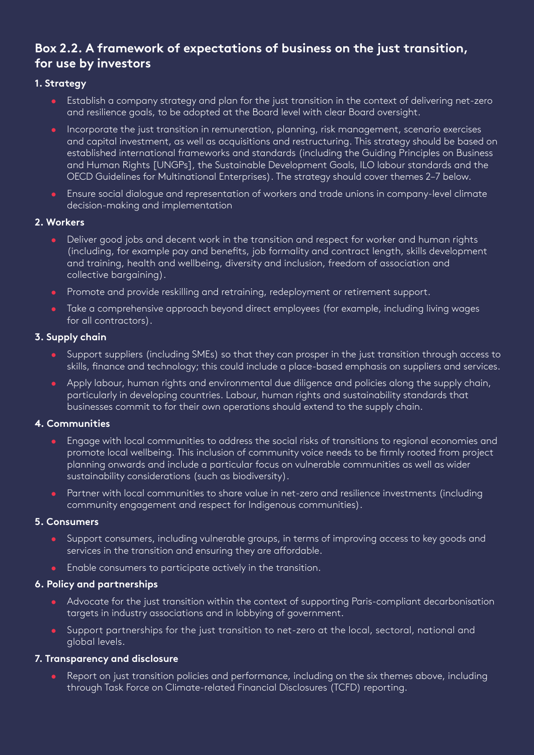## **Box 2.2. A framework of expectations of business on the just transition, for use by investors**

#### **1. Strategy**

- Establish a company strategy and plan for the just transition in the context of delivering net-zero and resilience goals, to be adopted at the Board level with clear Board oversight.
- Incorporate the just transition in remuneration, planning, risk management, scenario exercises and capital investment, as well as acquisitions and restructuring. This strategy should be based on established international frameworks and standards (including the Guiding Principles on Business and Human Rights [UNGPs], the Sustainable Development Goals, ILO labour standards and the OECD Guidelines for Multinational Enterprises). The strategy should cover themes 2–7 below.
- Ensure social dialogue and representation of workers and trade unions in company-level climate decision-making and implementation

#### **2. Workers**

- Deliver good jobs and decent work in the transition and respect for worker and human rights (including, for example pay and benefits, job formality and contract length, skills development and training, health and wellbeing, diversity and inclusion, freedom of association and collective bargaining).
- Promote and provide reskilling and retraining, redeployment or retirement support.
- Take a comprehensive approach beyond direct employees (for example, including living wages for all contractors).

#### **3. Supply chain**

- Support suppliers (including SMEs) so that they can prosper in the just transition through access to skills, finance and technology; this could include a place-based emphasis on suppliers and services.
- Apply labour, human rights and environmental due diligence and policies along the supply chain, particularly in developing countries. Labour, human rights and sustainability standards that businesses commit to for their own operations should extend to the supply chain.

#### **4. Communities**

- Engage with local communities to address the social risks of transitions to regional economies and promote local wellbeing. This inclusion of community voice needs to be firmly rooted from project planning onwards and include a particular focus on vulnerable communities as well as wider sustainability considerations (such as biodiversity).
- Partner with local communities to share value in net-zero and resilience investments (including community engagement and respect for Indigenous communities).

#### **5. Consumers**

- Support consumers, including vulnerable groups, in terms of improving access to key goods and services in the transition and ensuring they are affordable.
- Enable consumers to participate actively in the transition.

#### **6. Policy and partnerships**

- Advocate for the just transition within the context of supporting Paris-compliant decarbonisation targets in industry associations and in lobbying of government.
- Support partnerships for the just transition to net-zero at the local, sectoral, national and global levels.

#### **7. Transparency and disclosure**

Report on just transition policies and performance, including on the six themes above, including through Task Force on Climate-related Financial Disclosures (TCFD) reporting.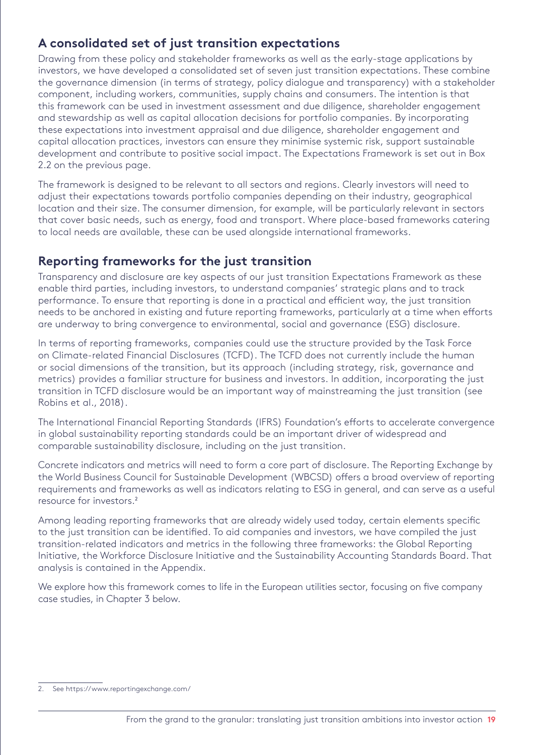## **A consolidated set of just transition expectations**

Drawing from these policy and stakeholder frameworks as well as the early-stage applications by investors, we have developed a consolidated set of seven just transition expectations. These combine the governance dimension (in terms of strategy, policy dialogue and transparency) with a stakeholder component, including workers, communities, supply chains and consumers. The intention is that this framework can be used in investment assessment and due diligence, shareholder engagement and stewardship as well as capital allocation decisions for portfolio companies. By incorporating these expectations into investment appraisal and due diligence, shareholder engagement and capital allocation practices, investors can ensure they minimise systemic risk, support sustainable development and contribute to positive social impact. The Expectations Framework is set out in Box 2.2 on the previous page.

The framework is designed to be relevant to all sectors and regions. Clearly investors will need to adjust their expectations towards portfolio companies depending on their industry, geographical location and their size. The consumer dimension, for example, will be particularly relevant in sectors that cover basic needs, such as energy, food and transport. Where place-based frameworks catering to local needs are available, these can be used alongside international frameworks.

## **Reporting frameworks for the just transition**

Transparency and disclosure are key aspects of our just transition Expectations Framework as these enable third parties, including investors, to understand companies' strategic plans and to track performance. To ensure that reporting is done in a practical and efficient way, the just transition needs to be anchored in existing and future reporting frameworks, particularly at a time when efforts are underway to bring convergence to environmental, social and governance (ESG) disclosure.

In terms of reporting frameworks, companies could use the structure provided by the Task Force on Climate-related Financial Disclosures (TCFD). The TCFD does not currently include the human or social dimensions of the transition, but its approach (including strategy, risk, governance and metrics) provides a familiar structure for business and investors. In addition, incorporating the just transition in TCFD disclosure would be an important way of mainstreaming the just transition (see Robins et al., 2018).

The International Financial Reporting Standards (IFRS) Foundation's efforts to accelerate convergence in global sustainability reporting standards could be an important driver of widespread and comparable sustainability disclosure, including on the just transition.

Concrete indicators and metrics will need to form a core part of disclosure. The Reporting Exchange by the World Business Council for Sustainable Development (WBCSD) offers a broad overview of reporting requirements and frameworks as well as indicators relating to ESG in general, and can serve as a useful resource for investors.2

Among leading reporting frameworks that are already widely used today, certain elements specific to the just transition can be identified. To aid companies and investors, we have compiled the just transition-related indicators and metrics in the following three frameworks: the Global Reporting Initiative, the Workforce Disclosure Initiative and the Sustainability Accounting Standards Board. That analysis is contained in the Appendix.

We explore how this framework comes to life in the European utilities sector, focusing on five company case studies, in Chapter 3 below.

<sup>2.</sup> See<https://www.reportingexchange.com/>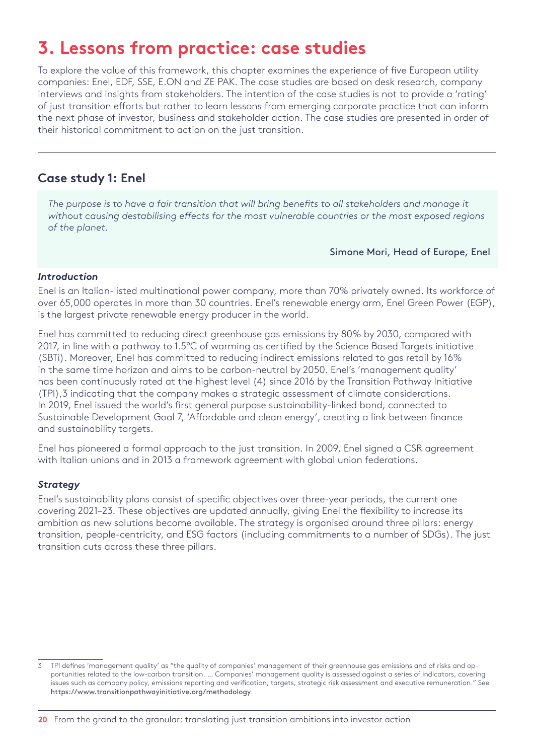## <span id="page-19-0"></span>**3. Lessons from practice: case studies**

To explore the value of this framework, this chapter examines the experience of five European utility companies: Enel, EDF, SSE, E.ON and ZE PAK. The case studies are based on desk research, company interviews and insights from stakeholders. The intention of the case studies is not to provide a 'rating' of just transition efforts but rather to learn lessons from emerging corporate practice that can inform the next phase of investor, business and stakeholder action. The case studies are presented in order of their historical commitment to action on the just transition.

### **Case study 1: Enel**

*The purpose is to have a fair transition that will bring benefits to all stakeholders and manage it without causing destabilising effects for the most vulnerable countries or the most exposed regions of the planet.* 

Simone Mori, Head of Europe, Enel

#### *Introduction*

Enel is an Italian-listed multinational power company, more than 70% privately owned. Its workforce of over 65,000 operates in more than 30 countries. Enel's renewable energy arm, Enel Green Power (EGP), is the largest private renewable energy producer in the world.

Enel has committed to reducing direct greenhouse gas emissions by 80% by 2030, compared with 2017, in line with a pathway to 1.5°C of warming as certified by the Science Based Targets initiative (SBTi). Moreover, Enel has committed to reducing indirect emissions related to gas retail by 16% in the same time horizon and aims to be carbon-neutral by 2050. Enel's 'management quality' has been continuously rated at the highest level (4) since 2016 by the Transition Pathway Initiative (TPI),3 indicating that the company makes a strategic assessment of climate considerations. In 2019, Enel issued the world's first general purpose sustainability-linked bond, connected to Sustainable Development Goal 7, 'Affordable and clean energy', creating a link between finance and sustainability targets.

Enel has pioneered a formal approach to the just transition. In 2009, Enel signed a CSR agreement with Italian unions and in 2013 a framework agreement with global union federations.

#### *Strategy*

Enel's sustainability plans consist of specific objectives over three-year periods, the current one covering 2021–23. These objectives are updated annually, giving Enel the flexibility to increase its ambition as new solutions become available. The strategy is organised around three pillars: energy transition, people-centricity, and ESG factors (including commitments to a number of SDGs). The just transition cuts across these three pillars.

<sup>3</sup> TPI defines 'management quality' as "the quality of companies' management of their greenhouse gas emissions and of risks and opportunities related to the low-carbon transition. … Companies' management quality is assessed against a series of indicators, covering issues such as company policy, emissions reporting and verification, targets, strategic risk assessment and executive remuneration." See <https://www.transitionpathwayinitiative.org/methodology>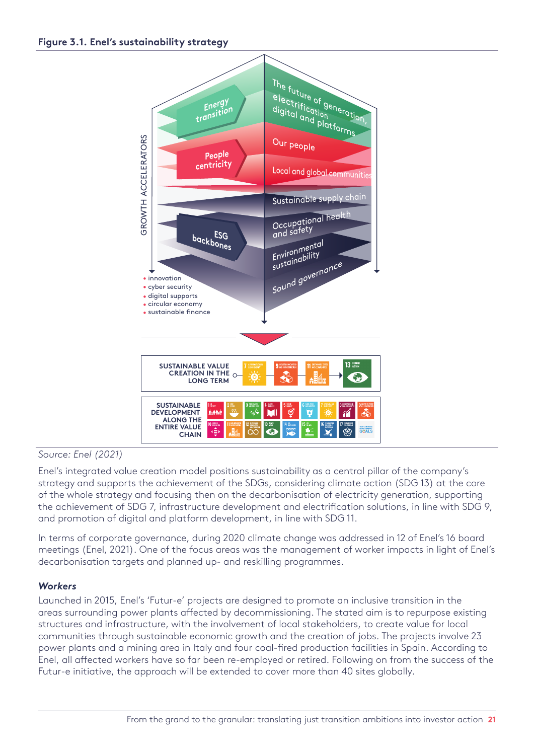#### **Figure 3.1. Enel's sustainability strategy**



#### *Source: Enel (2021)*

Enel's integrated value creation model positions sustainability as a central pillar of the company's strategy and supports the achievement of the SDGs, considering climate action (SDG 13) at the core of the whole strategy and focusing then on the decarbonisation of electricity generation, supporting the achievement of SDG 7, infrastructure development and electrification solutions, in line with SDG 9, and promotion of digital and platform development, in line with SDG 11.

In terms of corporate governance, during 2020 climate change was addressed in 12 of Enel's 16 board meetings (Enel, 2021). One of the focus areas was the management of worker impacts in light of Enel's decarbonisation targets and planned up- and reskilling programmes.

#### *Workers*

Launched in 2015, Enel's 'Futur-e' projects are designed to promote an inclusive transition in the areas surrounding power plants affected by decommissioning. The stated aim is to repurpose existing structures and infrastructure, with the involvement of local stakeholders, to create value for local communities through sustainable economic growth and the creation of jobs. The projects involve 23 power plants and a mining area in Italy and four coal-fired production facilities in Spain. According to Enel, all affected workers have so far been re-employed or retired. Following on from the success of the Futur-e initiative, the approach will be extended to cover more than 40 sites globally.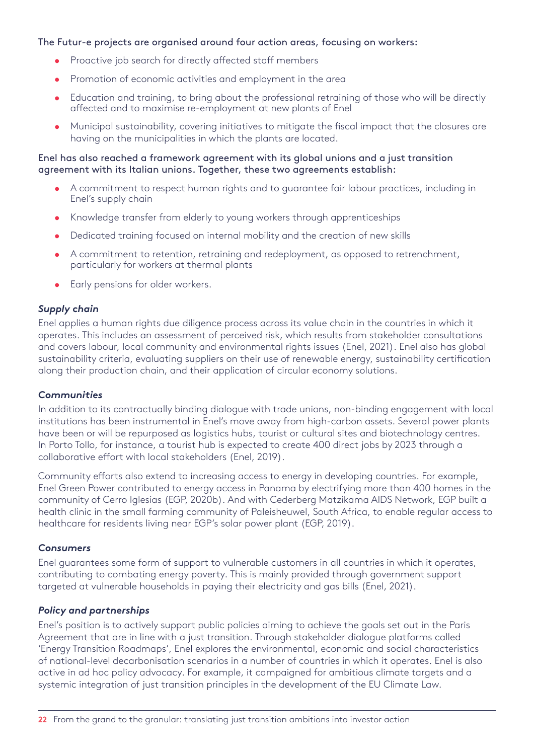#### The Futur-e projects are organised around four action areas, focusing on workers:

- Proactive job search for directly affected staff members
- Promotion of economic activities and employment in the area
- Education and training, to bring about the professional retraining of those who will be directly affected and to maximise re-employment at new plants of Enel
- Municipal sustainability, covering initiatives to mitigate the fiscal impact that the closures are having on the municipalities in which the plants are located.

#### Enel has also reached a framework agreement with its global unions and a just transition agreement with its Italian unions. Together, these two agreements establish:

- A commitment to respect human rights and to guarantee fair labour practices, including in Enel's supply chain
- Knowledge transfer from elderly to young workers through apprenticeships
- Dedicated training focused on internal mobility and the creation of new skills
- A commitment to retention, retraining and redeployment, as opposed to retrenchment, particularly for workers at thermal plants
- Early pensions for older workers.

#### *Supply chain*

Enel applies a human rights due diligence process across its value chain in the countries in which it operates. This includes an assessment of perceived risk, which results from stakeholder consultations and covers labour, local community and environmental rights issues (Enel, 2021). Enel also has global sustainability criteria, evaluating suppliers on their use of renewable energy, sustainability certification along their production chain, and their application of circular economy solutions.

#### *Communities*

In addition to its contractually binding dialogue with trade unions, non-binding engagement with local institutions has been instrumental in Enel's move away from high-carbon assets. Several power plants have been or will be repurposed as logistics hubs, tourist or cultural sites and biotechnology centres. In Porto Tollo, for instance, a tourist hub is expected to create 400 direct jobs by 2023 through a collaborative effort with local stakeholders (Enel, 2019).

Community efforts also extend to increasing access to energy in developing countries. For example, Enel Green Power contributed to energy access in Panama by electrifying more than 400 homes in the community of Cerro Iglesias (EGP, 2020b). And with Cederberg Matzikama AIDS Network, EGP built a health clinic in the small farming community of Paleisheuwel, South Africa, to enable regular access to healthcare for residents living near EGP's solar power plant (EGP, 2019).

#### *Consumers*

Enel guarantees some form of support to vulnerable customers in all countries in which it operates, contributing to combating energy poverty. This is mainly provided through government support targeted at vulnerable households in paying their electricity and gas bills (Enel, 2021).

#### *Policy and partnerships*

Enel's position is to actively support public policies aiming to achieve the goals set out in the Paris Agreement that are in line with a just transition. Through stakeholder dialogue platforms called 'Energy Transition Roadmaps', Enel explores the environmental, economic and social characteristics of national-level decarbonisation scenarios in a number of countries in which it operates. Enel is also active in ad hoc policy advocacy. For example, it campaigned for ambitious climate targets and a systemic integration of just transition principles in the development of the EU Climate Law.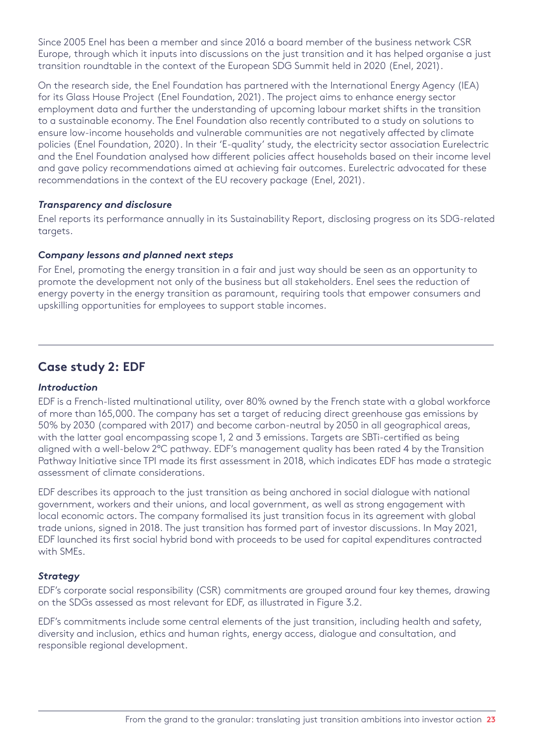<span id="page-22-0"></span>Since 2005 Enel has been a member and since 2016 a board member of the business network CSR Europe, through which it inputs into discussions on the just transition and it has helped organise a just transition roundtable in the context of the European SDG Summit held in 2020 (Enel, 2021).

On the research side, the Enel Foundation has partnered with the International Energy Agency (IEA) for its Glass House Project (Enel Foundation, 2021). The project aims to enhance energy sector employment data and further the understanding of upcoming labour market shifts in the transition to a sustainable economy. The Enel Foundation also recently contributed to a study on solutions to ensure low-income households and vulnerable communities are not negatively affected by climate policies (Enel Foundation, 2020). In their 'E-quality' study, the electricity sector association Eurelectric and the Enel Foundation analysed how different policies affect households based on their income level and gave policy recommendations aimed at achieving fair outcomes. Eurelectric advocated for these recommendations in the context of the EU recovery package (Enel, 2021).

#### *Transparency and disclosure*

Enel reports its performance annually in its Sustainability Report, disclosing progress on its SDG-related targets.

#### *Company lessons and planned next steps*

For Enel, promoting the energy transition in a fair and just way should be seen as an opportunity to promote the development not only of the business but all stakeholders. Enel sees the reduction of energy poverty in the energy transition as paramount, requiring tools that empower consumers and upskilling opportunities for employees to support stable incomes.

### **Case study 2: EDF**

#### *Introduction*

EDF is a French-listed multinational utility, over 80% owned by the French state with a global workforce of more than 165,000. The company has set a target of reducing direct greenhouse gas emissions by 50% by 2030 (compared with 2017) and become carbon-neutral by 2050 in all geographical areas, with the latter goal encompassing scope 1, 2 and 3 emissions. Targets are SBTi-certified as being aligned with a well-below 2°C pathway. EDF's management quality has been rated 4 by the Transition Pathway Initiative since TPI made its first assessment in 2018, which indicates EDF has made a strategic assessment of climate considerations.

EDF describes its approach to the just transition as being anchored in social dialogue with national government, workers and their unions, and local government, as well as strong engagement with local economic actors. The company formalised its just transition focus in its agreement with global trade unions, signed in 2018. The just transition has formed part of investor discussions. In May 2021, EDF launched its first social hybrid bond with proceeds to be used for capital expenditures contracted with SMEs.

#### *Strategy*

EDF's corporate social responsibility (CSR) commitments are grouped around four key themes, drawing on the SDGs assessed as most relevant for EDF, as illustrated in Figure 3.2.

EDF's commitments include some central elements of the just transition, including health and safety, diversity and inclusion, ethics and human rights, energy access, dialogue and consultation, and responsible regional development.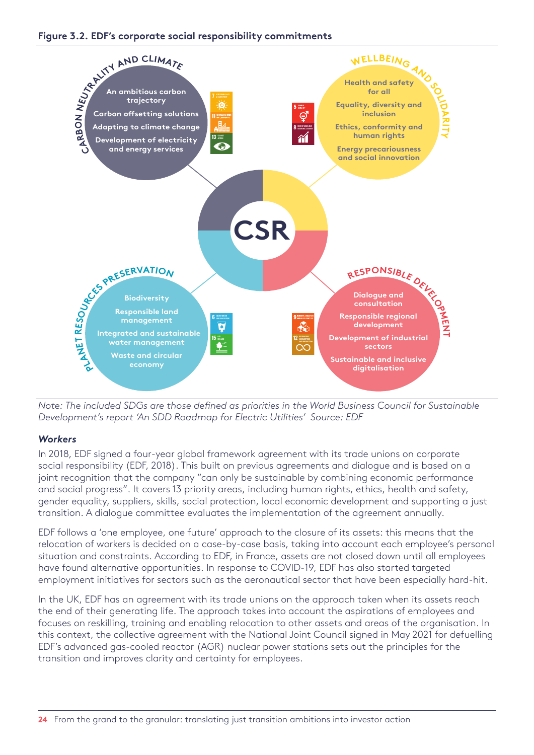



*Note: The included SDGs are those defined as priorities in the World Business Council for Sustainable Development's report 'An SDD Roadmap for Electric Utilities' Source: EDF*

#### *Workers*

In 2018, EDF signed a four-year global framework agreement with its trade unions on corporate social responsibility (EDF, 2018). This built on previous agreements and dialogue and is based on a joint recognition that the company "can only be sustainable by combining economic performance and social progress". It covers 13 priority areas, including human rights, ethics, health and safety, gender equality, suppliers, skills, social protection, local economic development and supporting a just transition. A dialogue committee evaluates the implementation of the agreement annually.

EDF follows a 'one employee, one future' approach to the closure of its assets: this means that the relocation of workers is decided on a case-by-case basis, taking into account each employee's personal situation and constraints. According to EDF, in France, assets are not closed down until all employees have found alternative opportunities. In response to COVID-19, EDF has also started targeted employment initiatives for sectors such as the aeronautical sector that have been especially hard-hit.

In the UK, EDF has an agreement with its trade unions on the approach taken when its assets reach the end of their generating life. The approach takes into account the aspirations of employees and focuses on reskilling, training and enabling relocation to other assets and areas of the organisation. In this context, the collective agreement with the National Joint Council signed in May 2021 for defuelling EDF's advanced gas-cooled reactor (AGR) nuclear power stations sets out the principles for the transition and improves clarity and certainty for employees.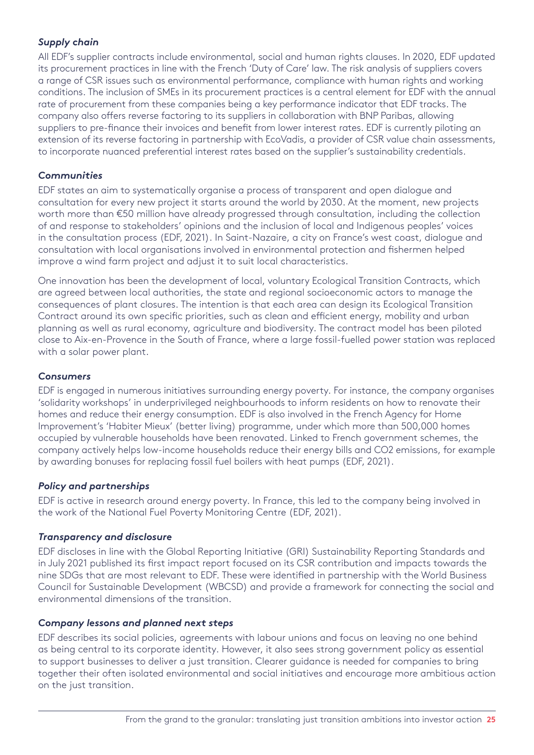#### *Supply chain*

All EDF's supplier contracts include environmental, social and human rights clauses. In 2020, EDF updated its procurement practices in line with the French 'Duty of Care' law. The risk analysis of suppliers covers a range of CSR issues such as environmental performance, compliance with human rights and working conditions. The inclusion of SMEs in its procurement practices is a central element for EDF with the annual rate of procurement from these companies being a key performance indicator that EDF tracks. The company also offers reverse factoring to its suppliers in collaboration with BNP Paribas, allowing suppliers to pre-finance their invoices and benefit from lower interest rates. EDF is currently piloting an extension of its reverse factoring in partnership with EcoVadis, a provider of CSR value chain assessments, to incorporate nuanced preferential interest rates based on the supplier's sustainability credentials.

#### *Communities*

EDF states an aim to systematically organise a process of transparent and open dialogue and consultation for every new project it starts around the world by 2030. At the moment, new projects worth more than €50 million have already progressed through consultation, including the collection of and response to stakeholders' opinions and the inclusion of local and Indigenous peoples' voices in the consultation process (EDF, 2021). In Saint-Nazaire, a city on France's west coast, dialogue and consultation with local organisations involved in environmental protection and fishermen helped improve a wind farm project and adjust it to suit local characteristics.

One innovation has been the development of local, voluntary Ecological Transition Contracts, which are agreed between local authorities, the state and regional socioeconomic actors to manage the consequences of plant closures. The intention is that each area can design its Ecological Transition Contract around its own specific priorities, such as clean and efficient energy, mobility and urban planning as well as rural economy, agriculture and biodiversity. The contract model has been piloted close to Aix-en-Provence in the South of France, where a large fossil-fuelled power station was replaced with a solar power plant.

#### *Consumers*

EDF is engaged in numerous initiatives surrounding energy poverty. For instance, the company organises 'solidarity workshops' in underprivileged neighbourhoods to inform residents on how to renovate their homes and reduce their energy consumption. EDF is also involved in the French Agency for Home Improvement's 'Habiter Mieux' (better living) programme, under which more than 500,000 homes occupied by vulnerable households have been renovated. Linked to French government schemes, the company actively helps low-income households reduce their energy bills and CO2 emissions, for example by awarding bonuses for replacing fossil fuel boilers with heat pumps (EDF, 2021).

#### *Policy and partnerships*

EDF is active in research around energy poverty. In France, this led to the company being involved in the work of the National Fuel Poverty Monitoring Centre (EDF, 2021).

#### *Transparency and disclosure*

EDF discloses in line with the Global Reporting Initiative (GRI) Sustainability Reporting Standards and in July 2021 published its first impact report focused on its CSR contribution and impacts towards the nine SDGs that are most relevant to EDF. These were identified in partnership with the World Business Council for Sustainable Development (WBCSD) and provide a framework for connecting the social and environmental dimensions of the transition.

#### *Company lessons and planned next steps*

EDF describes its social policies, agreements with labour unions and focus on leaving no one behind as being central to its corporate identity. However, it also sees strong government policy as essential to support businesses to deliver a just transition. Clearer guidance is needed for companies to bring together their often isolated environmental and social initiatives and encourage more ambitious action on the just transition.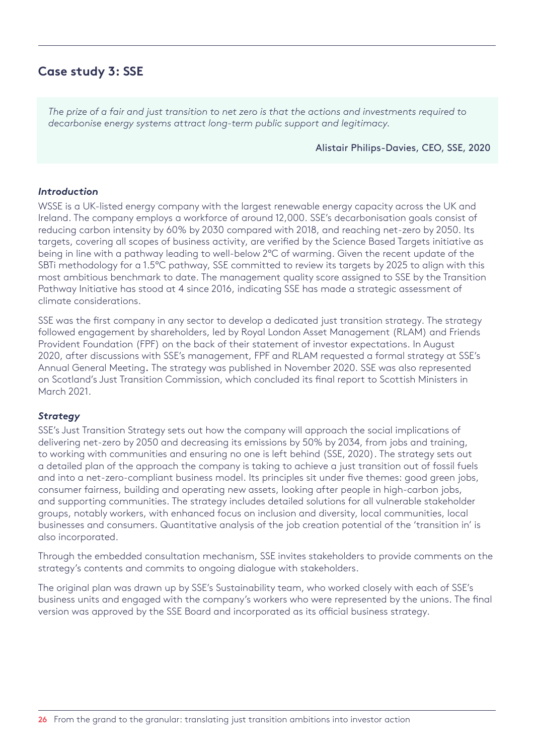## <span id="page-25-0"></span>**Case study 3: SSE**

*The prize of a fair and just transition to net zero is that the actions and investments required to decarbonise energy systems attract long-term public support and legitimacy.* 

#### Alistair Philips-Davies, CEO, SSE, 2020

#### *Introduction*

WSSE is a UK-listed energy company with the largest renewable energy capacity across the UK and Ireland. The company employs a workforce of around 12,000. SSE's decarbonisation goals consist of reducing carbon intensity by 60% by 2030 compared with 2018, and reaching net-zero by 2050. Its targets, covering all scopes of business activity, are verified by the Science Based Targets initiative as being in line with a pathway leading to well-below 2°C of warming. Given the recent update of the SBTi methodology for a 1.5°C pathway, SSE committed to review its targets by 2025 to align with this most ambitious benchmark to date. The management quality score assigned to SSE by the Transition Pathway Initiative has stood at 4 since 2016, indicating SSE has made a strategic assessment of climate considerations.

SSE was the first company in any sector to develop a dedicated just transition strategy. The strategy followed engagement by shareholders, led by Royal London Asset Management (RLAM) and Friends Provident Foundation (FPF) on the back of their statement of investor expectations. In August 2020, after discussions with SSE's management, FPF and RLAM requested a formal strategy at SSE's Annual General Meeting. The strategy was published in November 2020. SSE was also represented on Scotland's Just Transition Commission, which concluded its final report to Scottish Ministers in March 2021.

#### *Strategy*

SSE's Just Transition Strategy sets out how the company will approach the social implications of delivering net-zero by 2050 and decreasing its emissions by 50% by 2034, from jobs and training, to working with communities and ensuring no one is left behind (SSE, 2020). The strategy sets out a detailed plan of the approach the company is taking to achieve a just transition out of fossil fuels and into a net-zero-compliant business model. Its principles sit under five themes: good green jobs, consumer fairness, building and operating new assets, looking after people in high-carbon jobs, and supporting communities. The strategy includes detailed solutions for all vulnerable stakeholder groups, notably workers, with enhanced focus on inclusion and diversity, local communities, local businesses and consumers. Quantitative analysis of the job creation potential of the 'transition in' is also incorporated.

Through the embedded consultation mechanism, SSE invites stakeholders to provide comments on the strategy's contents and commits to ongoing dialogue with stakeholders.

The original plan was drawn up by SSE's Sustainability team, who worked closely with each of SSE's business units and engaged with the company's workers who were represented by the unions. The final version was approved by the SSE Board and incorporated as its official business strategy.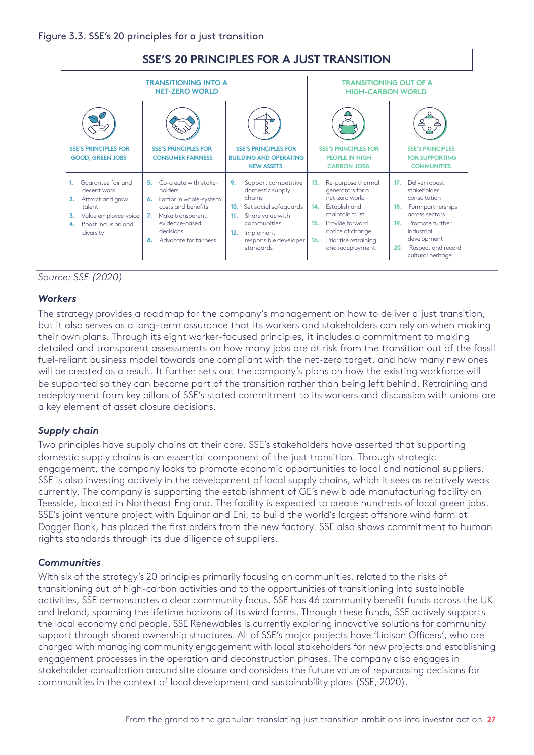

*Source: SSE (2020)*

#### *Workers*

The strategy provides a roadmap for the company's management on how to deliver a just transition, but it also serves as a long-term assurance that its workers and stakeholders can rely on when making their own plans. Through its eight worker-focused principles, it includes a commitment to making detailed and transparent assessments on how many jobs are at risk from the transition out of the fossil fuel-reliant business model towards one compliant with the net-zero target, and how many new ones will be created as a result. It further sets out the company's plans on how the existing workforce will be supported so they can become part of the transition rather than being left behind. Retraining and redeployment form key pillars of SSE's stated commitment to its workers and discussion with unions are a key element of asset closure decisions.

#### *Supply chain*

Two principles have supply chains at their core. SSE's stakeholders have asserted that supporting domestic supply chains is an essential component of the just transition. Through strategic engagement, the company looks to promote economic opportunities to local and national suppliers. SSE is also investing actively in the development of local supply chains, which it sees as relatively weak currently. The company is supporting the establishment of GE's new blade manufacturing facility on Teesside, located in Northeast England. The facility is expected to create hundreds of local green jobs. SSE's joint venture project with Equinor and Eni, to build the world's largest offshore wind farm at Dogger Bank, has placed the first orders from the new factory. SSE also shows commitment to human rights standards through its due diligence of suppliers.

#### *Communities*

With six of the strategy's 20 principles primarily focusing on communities, related to the risks of transitioning out of high-carbon activities and to the opportunities of transitioning into sustainable activities, SSE demonstrates a clear community focus. SSE has 46 community benefit funds across the UK and Ireland, spanning the lifetime horizons of its wind farms. Through these funds, SSE actively supports the local economy and people. SSE Renewables is currently exploring innovative solutions for community support through shared ownership structures. All of SSE's major projects have 'Liaison Officers', who are charged with managing community engagement with local stakeholders for new projects and establishing engagement processes in the operation and deconstruction phases. The company also engages in stakeholder consultation around site closure and considers the future value of repurposing decisions for communities in the context of local development and sustainability plans (SSE, 2020).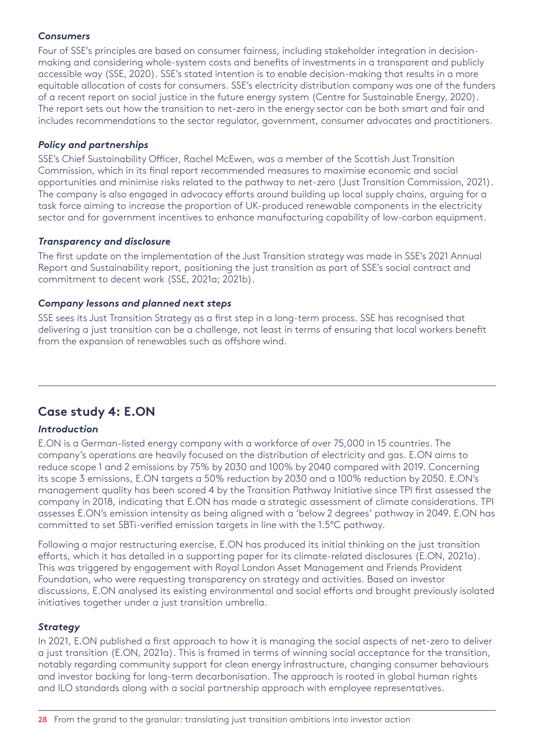#### <span id="page-27-0"></span>*Consumers*

Four of SSE's principles are based on consumer fairness, including stakeholder integration in decisionmaking and considering whole-system costs and benefits of investments in a transparent and publicly accessible way (SSE, 2020). SSE's stated intention is to enable decision-making that results in a more equitable allocation of costs for consumers. SSE's electricity distribution company was one of the funders of a recent report on social justice in the future energy system (Centre for Sustainable Energy, 2020). The report sets out how the transition to net-zero in the energy sector can be both smart and fair and includes recommendations to the sector regulator, government, consumer advocates and practitioners.

#### *Policy and partnerships*

SSE's Chief Sustainability Officer, Rachel McEwen, was a member of the Scottish Just Transition Commission, which in its final report recommended measures to maximise economic and social opportunities and minimise risks related to the pathway to net-zero (Just Transition Commission, 2021). The company is also engaged in advocacy efforts around building up local supply chains, arguing for a task force aiming to increase the proportion of UK-produced renewable components in the electricity sector and for government incentives to enhance manufacturing capability of low-carbon equipment.

#### *Transparency and disclosure*

The first update on the implementation of the Just Transition strategy was made in SSE's 2021 Annual Report and Sustainability report, positioning the just transition as part of SSE's social contract and commitment to decent work (SSE, 2021a; 2021b).

#### *Company lessons and planned next steps*

SSE sees its Just Transition Strategy as a first step in a long-term process. SSE has recognised that delivering a just transition can be a challenge, not least in terms of ensuring that local workers benefit from the expansion of renewables such as offshore wind.

## **Case study 4: E.ON**

#### *Introduction*

E.ON is a German-listed energy company with a workforce of over 75,000 in 15 countries. The company's operations are heavily focused on the distribution of electricity and gas. E.ON aims to reduce scope 1 and 2 emissions by 75% by 2030 and 100% by 2040 compared with 2019. Concerning its scope 3 emissions, E.ON targets a 50% reduction by 2030 and a 100% reduction by 2050. E.ON's management quality has been scored 4 by the Transition Pathway Initiative since TPI first assessed the company in 2018, indicating that E.ON has made a strategic assessment of climate considerations. TPI assesses E.ON's emission intensity as being aligned with a 'below 2 degrees' pathway in 2049. E.ON has committed to set SBTi-verified emission targets in line with the 1.5°C pathway.

Following a major restructuring exercise, E.ON has produced its initial thinking on the just transition efforts, which it has detailed in a supporting paper for its climate-related disclosures (E.ON, 2021a). This was triggered by engagement with Royal London Asset Management and Friends Provident Foundation, who were requesting transparency on strategy and activities. Based on investor discussions, E.ON analysed its existing environmental and social efforts and brought previously isolated initiatives together under a just transition umbrella.

#### *Strategy*

In 2021, E.ON published a first approach to how it is managing the social aspects of net-zero to deliver a just transition (E.ON, 2021a). This is framed in terms of winning social acceptance for the transition, notably regarding community support for clean energy infrastructure, changing consumer behaviours and investor backing for long-term decarbonisation. The approach is rooted in global human rights and ILO standards along with a social partnership approach with employee representatives.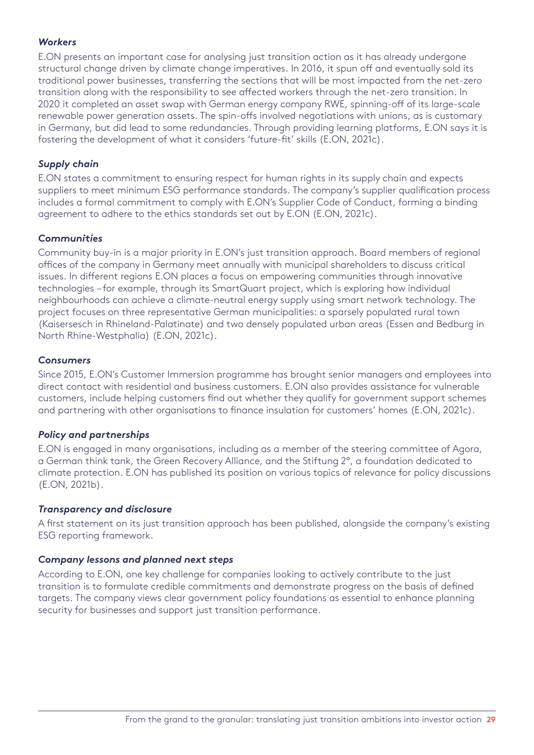#### *Workers*

E.ON presents an important case for analysing just transition action as it has already undergone structural change driven by climate change imperatives. In 2016, it spun off and eventually sold its traditional power businesses, transferring the sections that will be most impacted from the net-zero transition along with the responsibility to see affected workers through the net-zero transition. In 2020 it completed an asset swap with German energy company RWE, spinning-off of its large-scale renewable power generation assets. The spin-offs involved negotiations with unions, as is customary in Germany, but did lead to some redundancies. Through providing learning platforms, E.ON says it is fostering the development of what it considers 'future-fit' skills (E.ON, 2021c).

#### *Supply chain*

E.ON states a commitment to ensuring respect for human rights in its supply chain and expects suppliers to meet minimum ESG performance standards. The company's supplier qualification process includes a formal commitment to comply with E.ON's Supplier Code of Conduct, forming a binding agreement to adhere to the ethics standards set out by E.ON (E.ON, 2021c).

#### *Communities*

Community buy-in is a major priority in E.ON's just transition approach. Board members of regional offices of the company in Germany meet annually with municipal shareholders to discuss critical issues. In different regions E.ON places a focus on empowering communities through innovative technologies – for example, through its SmartQuart project, which is exploring how individual neighbourhoods can achieve a climate-neutral energy supply using smart network technology. The project focuses on three representative German municipalities: a sparsely populated rural town (Kaisersesch in Rhineland-Palatinate) and two densely populated urban areas (Essen and Bedburg in North Rhine-Westphalia) (E.ON, 2021c).

#### *Consumers*

Since 2015, E.ON's Customer Immersion programme has brought senior managers and employees into direct contact with residential and business customers. E.ON also provides assistance for vulnerable customers, include helping customers find out whether they qualify for government support schemes and partnering with other organisations to finance insulation for customers' homes (E.ON, 2021c).

#### *Policy and partnerships*

E.ON is engaged in many organisations, including as a member of the steering committee of Agora, a German think tank, the Green Recovery Alliance, and the Stiftung 2°, a foundation dedicated to climate protection. E.ON has published its position on various topics of relevance for policy discussions (E.ON, 2021b).

#### *Transparency and disclosure*

A first statement on its just transition approach has been published, alongside the company's existing ESG reporting framework.

#### *Company lessons and planned next steps*

According to E.ON, one key challenge for companies looking to actively contribute to the just transition is to formulate credible commitments and demonstrate progress on the basis of defined targets. The company views clear government policy foundations as essential to enhance planning security for businesses and support just transition performance.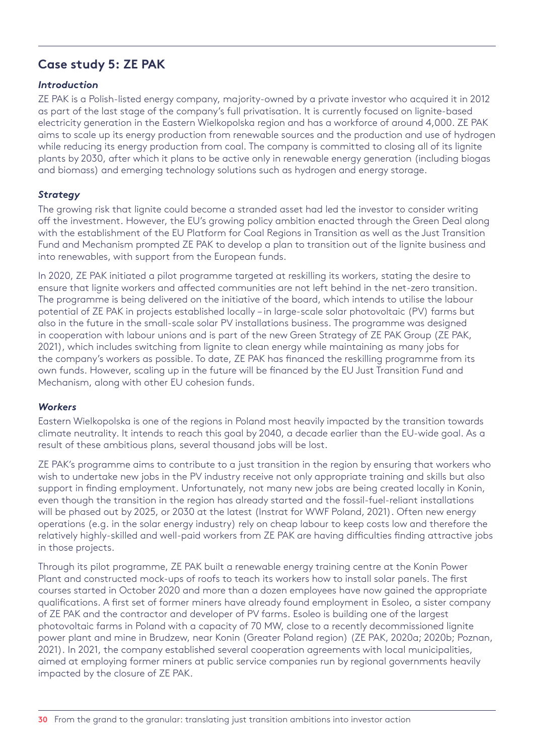## <span id="page-29-0"></span>**Case study 5: ZE PAK**

#### *Introduction*

ZE PAK is a Polish-listed energy company, majority-owned by a private investor who acquired it in 2012 as part of the last stage of the company's full privatisation. It is currently focused on lignite-based electricity generation in the Eastern Wielkopolska region and has a workforce of around 4,000. ZE PAK aims to scale up its energy production from renewable sources and the production and use of hydrogen while reducing its energy production from coal. The company is committed to closing all of its lignite plants by 2030, after which it plans to be active only in renewable energy generation (including biogas and biomass) and emerging technology solutions such as hydrogen and energy storage.

#### *Strategy*

The growing risk that lignite could become a stranded asset had led the investor to consider writing off the investment. However, the EU's growing policy ambition enacted through the Green Deal along with the establishment of the EU Platform for Coal Regions in Transition as well as the Just Transition Fund and Mechanism prompted ZE PAK to develop a plan to transition out of the lignite business and into renewables, with support from the European funds.

In 2020, ZE PAK initiated a pilot programme targeted at reskilling its workers, stating the desire to ensure that lignite workers and affected communities are not left behind in the net-zero transition. The programme is being delivered on the initiative of the board, which intends to utilise the labour potential of ZE PAK in projects established locally – in large-scale solar photovoltaic (PV) farms but also in the future in the small-scale solar PV installations business. The programme was designed in cooperation with labour unions and is part of the new Green Strategy of ZE PAK Group (ZE PAK, 2021), which includes switching from lignite to clean energy while maintaining as many jobs for the company's workers as possible. To date, ZE PAK has financed the reskilling programme from its own funds. However, scaling up in the future will be financed by the EU Just Transition Fund and Mechanism, along with other EU cohesion funds.

#### *Workers*

Eastern Wielkopolska is one of the regions in Poland most heavily impacted by the transition towards climate neutrality. It intends to reach this goal by 2040, a decade earlier than the EU-wide goal. As a result of these ambitious plans, several thousand jobs will be lost.

ZE PAK's programme aims to contribute to a just transition in the region by ensuring that workers who wish to undertake new jobs in the PV industry receive not only appropriate training and skills but also support in finding employment. Unfortunately, not many new jobs are being created locally in Konin, even though the transition in the region has already started and the fossil-fuel-reliant installations will be phased out by 2025, or 2030 at the latest (Instrat for WWF Poland, 2021). Often new energy operations (e.g. in the solar energy industry) rely on cheap labour to keep costs low and therefore the relatively highly-skilled and well-paid workers from ZE PAK are having difficulties finding attractive jobs in those projects.

Through its pilot programme, ZE PAK built a renewable energy training centre at the Konin Power Plant and constructed mock-ups of roofs to teach its workers how to install solar panels. The first courses started in October 2020 and more than a dozen employees have now gained the appropriate qualifications. A first set of former miners have already found employment in Esoleo, a sister company of ZE PAK and the contractor and developer of PV farms. Esoleo is building one of the largest photovoltaic farms in Poland with a capacity of 70 MW, close to a recently decommissioned lignite power plant and mine in Brudzew, near Konin (Greater Poland region) (ZE PAK, 2020a; 2020b; Poznan, 2021). In 2021, the company established several cooperation agreements with local municipalities, aimed at employing former miners at public service companies run by regional governments heavily impacted by the closure of ZE PAK.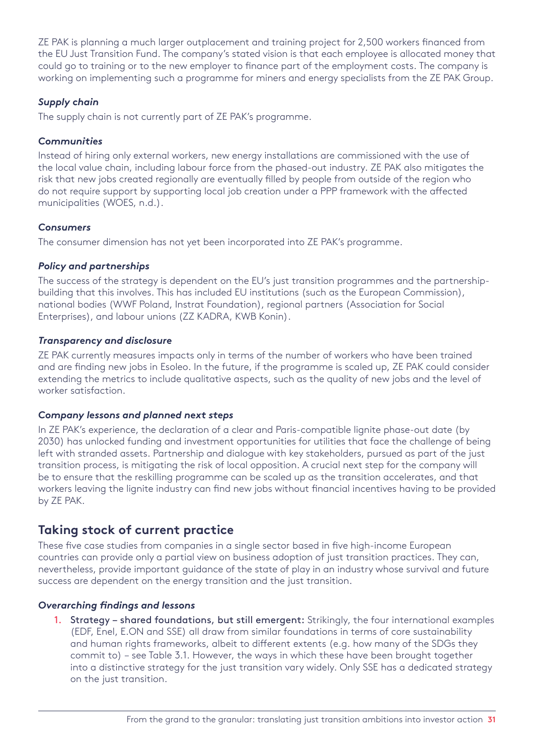<span id="page-30-0"></span>ZE PAK is planning a much larger outplacement and training project for 2,500 workers financed from the EU Just Transition Fund. The company's stated vision is that each employee is allocated money that could go to training or to the new employer to finance part of the employment costs. The company is working on implementing such a programme for miners and energy specialists from the ZE PAK Group.

#### *Supply chain*

The supply chain is not currently part of ZE PAK's programme.

#### *Communities*

Instead of hiring only external workers, new energy installations are commissioned with the use of the local value chain, including labour force from the phased-out industry. ZE PAK also mitigates the risk that new jobs created regionally are eventually filled by people from outside of the region who do not require support by supporting local job creation under a PPP framework with the affected municipalities (WOES, n.d.).

#### *Consumers*

The consumer dimension has not yet been incorporated into ZE PAK's programme.

#### *Policy and partnerships*

The success of the strategy is dependent on the EU's just transition programmes and the partnershipbuilding that this involves. This has included EU institutions (such as the European Commission), national bodies (WWF Poland, Instrat Foundation), regional partners (Association for Social Enterprises), and labour unions (ZZ KADRA, KWB Konin).

#### *Transparency and disclosure*

ZE PAK currently measures impacts only in terms of the number of workers who have been trained and are finding new jobs in Esoleo. In the future, if the programme is scaled up, ZE PAK could consider extending the metrics to include qualitative aspects, such as the quality of new jobs and the level of worker satisfaction.

#### *Company lessons and planned next steps*

In ZE PAK's experience, the declaration of a clear and Paris-compatible lignite phase-out date (by 2030) has unlocked funding and investment opportunities for utilities that face the challenge of being left with stranded assets. Partnership and dialogue with key stakeholders, pursued as part of the just transition process, is mitigating the risk of local opposition. A crucial next step for the company will be to ensure that the reskilling programme can be scaled up as the transition accelerates, and that workers leaving the lignite industry can find new jobs without financial incentives having to be provided by ZE PAK.

### **Taking stock of current practice**

These five case studies from companies in a single sector based in five high-income European countries can provide only a partial view on business adoption of just transition practices. They can, nevertheless, provide important guidance of the state of play in an industry whose survival and future success are dependent on the energy transition and the just transition.

#### *Overarching findings and lessons*

1. Strategy – shared foundations, but still emergent: Strikingly, the four international examples (EDF, Enel, E.ON and SSE) all draw from similar foundations in terms of core sustainability and human rights frameworks, albeit to different extents (e.g. how many of the SDGs they commit to) – see Table 3.1. However, the ways in which these have been brought together into a distinctive strategy for the just transition vary widely. Only SSE has a dedicated strategy on the just transition.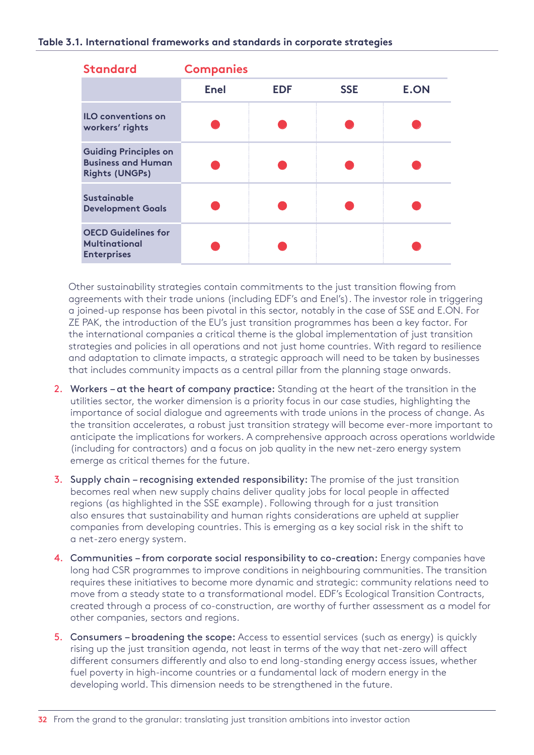| <b>Standard</b>                                                                    | <b>Companies</b> |            |            |             |
|------------------------------------------------------------------------------------|------------------|------------|------------|-------------|
|                                                                                    | <b>Enel</b>      | <b>EDF</b> | <b>SSE</b> | <b>E.ON</b> |
| <b>ILO conventions on</b><br>workers' rights                                       |                  |            |            |             |
| <b>Guiding Principles on</b><br><b>Business and Human</b><br><b>Rights (UNGPs)</b> |                  |            |            |             |
| <b>Sustainable</b><br><b>Development Goals</b>                                     |                  |            |            |             |
| <b>OECD Guidelines for</b><br><b>Multinational</b><br><b>Enterprises</b>           |                  |            |            |             |

Other sustainability strategies contain commitments to the just transition flowing from agreements with their trade unions (including EDF's and Enel's). The investor role in triggering a joined-up response has been pivotal in this sector, notably in the case of SSE and E.ON. For ZE PAK, the introduction of the EU's just transition programmes has been a key factor. For the international companies a critical theme is the global implementation of just transition strategies and policies in all operations and not just home countries. With regard to resilience and adaptation to climate impacts, a strategic approach will need to be taken by businesses that includes community impacts as a central pillar from the planning stage onwards.

- 2. Workers at the heart of company practice: Standing at the heart of the transition in the utilities sector, the worker dimension is a priority focus in our case studies, highlighting the importance of social dialogue and agreements with trade unions in the process of change. As the transition accelerates, a robust just transition strategy will become ever-more important to anticipate the implications for workers. A comprehensive approach across operations worldwide (including for contractors) and a focus on job quality in the new net-zero energy system emerge as critical themes for the future.
- 3. Supply chain recognising extended responsibility: The promise of the just transition becomes real when new supply chains deliver quality jobs for local people in affected regions (as highlighted in the SSE example). Following through for a just transition also ensures that sustainability and human rights considerations are upheld at supplier companies from developing countries. This is emerging as a key social risk in the shift to a net-zero energy system.
- 4. Communities from corporate social responsibility to co-creation: Energy companies have long had CSR programmes to improve conditions in neighbouring communities. The transition requires these initiatives to become more dynamic and strategic: community relations need to move from a steady state to a transformational model. EDF's Ecological Transition Contracts, created through a process of co-construction, are worthy of further assessment as a model for other companies, sectors and regions.
- 5. Consumers broadening the scope: Access to essential services (such as energy) is quickly rising up the just transition agenda, not least in terms of the way that net-zero will affect different consumers differently and also to end long-standing energy access issues, whether fuel poverty in high-income countries or a fundamental lack of modern energy in the developing world. This dimension needs to be strengthened in the future.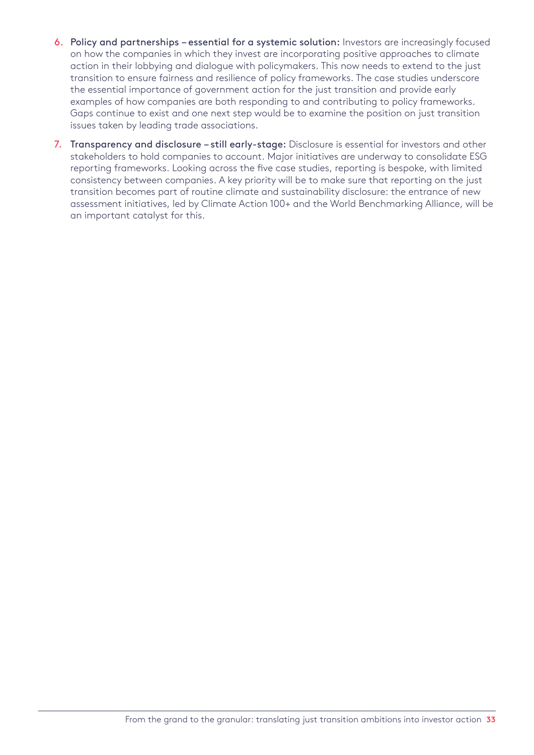- 6. Policy and partnerships essential for a systemic solution: Investors are increasingly focused on how the companies in which they invest are incorporating positive approaches to climate action in their lobbying and dialogue with policymakers. This now needs to extend to the just transition to ensure fairness and resilience of policy frameworks. The case studies underscore the essential importance of government action for the just transition and provide early examples of how companies are both responding to and contributing to policy frameworks. Gaps continue to exist and one next step would be to examine the position on just transition issues taken by leading trade associations.
- 7. Transparency and disclosure still early-stage: Disclosure is essential for investors and other stakeholders to hold companies to account. Major initiatives are underway to consolidate ESG reporting frameworks. Looking across the five case studies, reporting is bespoke, with limited consistency between companies. A key priority will be to make sure that reporting on the just transition becomes part of routine climate and sustainability disclosure: the entrance of new assessment initiatives, led by Climate Action 100+ and the World Benchmarking Alliance, will be an important catalyst for this.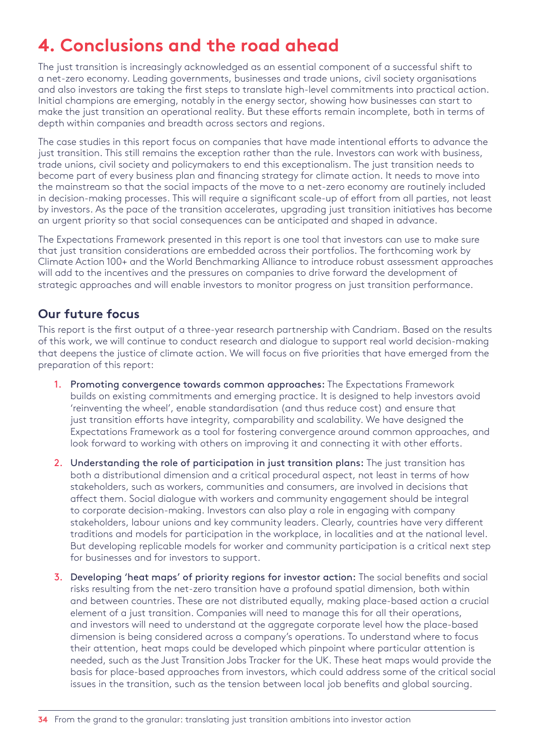## <span id="page-33-0"></span>**4. Conclusions and the road ahead**

The just transition is increasingly acknowledged as an essential component of a successful shift to a net-zero economy. Leading governments, businesses and trade unions, civil society organisations and also investors are taking the first steps to translate high-level commitments into practical action. Initial champions are emerging, notably in the energy sector, showing how businesses can start to make the just transition an operational reality. But these efforts remain incomplete, both in terms of depth within companies and breadth across sectors and regions.

The case studies in this report focus on companies that have made intentional efforts to advance the just transition. This still remains the exception rather than the rule. Investors can work with business, trade unions, civil society and policymakers to end this exceptionalism. The just transition needs to become part of every business plan and financing strategy for climate action. It needs to move into the mainstream so that the social impacts of the move to a net-zero economy are routinely included in decision-making processes. This will require a significant scale-up of effort from all parties, not least by investors. As the pace of the transition accelerates, upgrading just transition initiatives has become an urgent priority so that social consequences can be anticipated and shaped in advance.

The Expectations Framework presented in this report is one tool that investors can use to make sure that just transition considerations are embedded across their portfolios. The forthcoming work by Climate Action 100+ and the World Benchmarking Alliance to introduce robust assessment approaches will add to the incentives and the pressures on companies to drive forward the development of strategic approaches and will enable investors to monitor progress on just transition performance.

## **Our future focus**

This report is the first output of a three-year research partnership with Candriam. Based on the results of this work, we will continue to conduct research and dialogue to support real world decision-making that deepens the justice of climate action. We will focus on five priorities that have emerged from the preparation of this report:

- 1. Promoting convergence towards common approaches: The Expectations Framework builds on existing commitments and emerging practice. It is designed to help investors avoid 'reinventing the wheel', enable standardisation (and thus reduce cost) and ensure that just transition efforts have integrity, comparability and scalability. We have designed the Expectations Framework as a tool for fostering convergence around common approaches, and look forward to working with others on improving it and connecting it with other efforts.
- 2. Understanding the role of participation in just transition plans: The just transition has both a distributional dimension and a critical procedural aspect, not least in terms of how stakeholders, such as workers, communities and consumers, are involved in decisions that affect them. Social dialogue with workers and community engagement should be integral to corporate decision-making. Investors can also play a role in engaging with company stakeholders, labour unions and key community leaders. Clearly, countries have very different traditions and models for participation in the workplace, in localities and at the national level. But developing replicable models for worker and community participation is a critical next step for businesses and for investors to support.
- 3. Developing 'heat maps' of priority regions for investor action: The social benefits and social risks resulting from the net-zero transition have a profound spatial dimension, both within and between countries. These are not distributed equally, making place-based action a crucial element of a just transition. Companies will need to manage this for all their operations, and investors will need to understand at the aggregate corporate level how the place-based dimension is being considered across a company's operations. To understand where to focus their attention, heat maps could be developed which pinpoint where particular attention is needed, such as the Just Transition Jobs Tracker for the UK. These heat maps would provide the basis for place-based approaches from investors, which could address some of the critical social issues in the transition, such as the tension between local job benefits and global sourcing.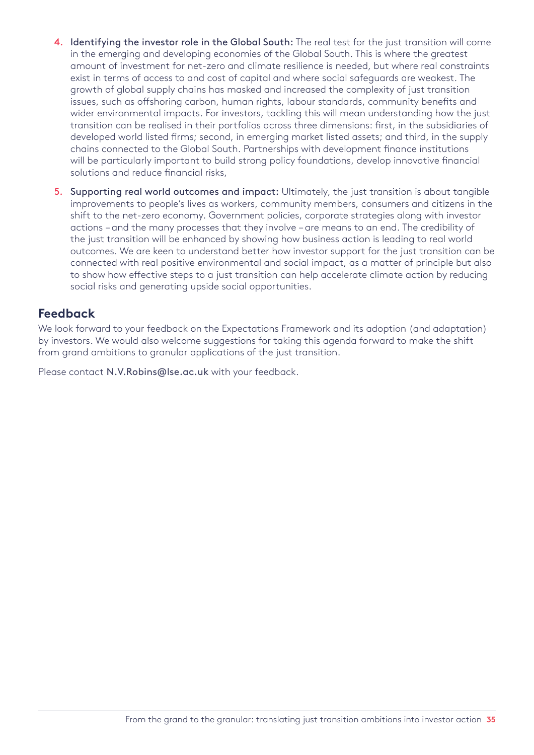- 4. Identifying the investor role in the Global South: The real test for the just transition will come in the emerging and developing economies of the Global South. This is where the greatest amount of investment for net-zero and climate resilience is needed, but where real constraints exist in terms of access to and cost of capital and where social safeguards are weakest. The growth of global supply chains has masked and increased the complexity of just transition issues, such as offshoring carbon, human rights, labour standards, community benefits and wider environmental impacts. For investors, tackling this will mean understanding how the just transition can be realised in their portfolios across three dimensions: first, in the subsidiaries of developed world listed firms; second, in emerging market listed assets; and third, in the supply chains connected to the Global South. Partnerships with development finance institutions will be particularly important to build strong policy foundations, develop innovative financial solutions and reduce financial risks,
- 5. Supporting real world outcomes and impact: Ultimately, the just transition is about tangible improvements to people's lives as workers, community members, consumers and citizens in the shift to the net-zero economy. Government policies, corporate strategies along with investor actions – and the many processes that they involve – are means to an end. The credibility of the just transition will be enhanced by showing how business action is leading to real world outcomes. We are keen to understand better how investor support for the just transition can be connected with real positive environmental and social impact, as a matter of principle but also to show how effective steps to a just transition can help accelerate climate action by reducing social risks and generating upside social opportunities.

### **Feedback**

We look forward to your feedback on the Expectations Framework and its adoption (and adaptation) by investors. We would also welcome suggestions for taking this agenda forward to make the shift from grand ambitions to granular applications of the just transition.

Please contact [N.V.Robins@lse.ac.uk](mailto:N.V.Robins@lse.ac.uk) with your feedback.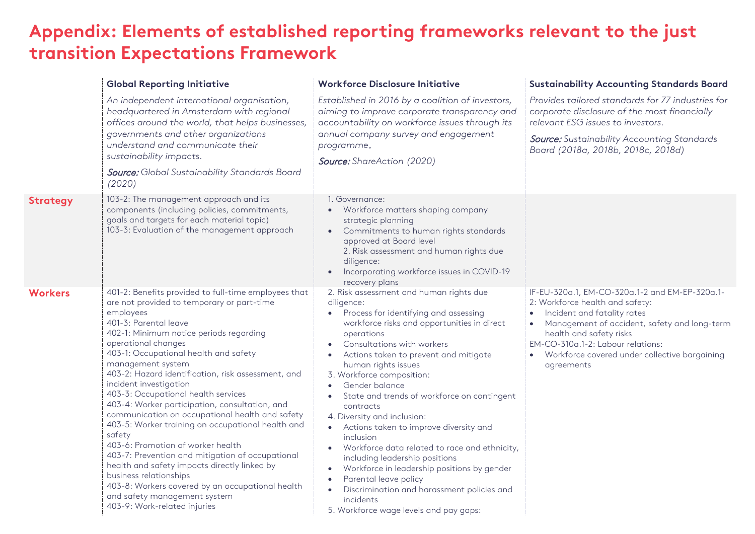## <span id="page-35-0"></span>**Appendix: Elements of established reporting frameworks relevant to the just transition Expectations Framework**

|                 | <b>Global Reporting Initiative</b>                                                                                                                                                                                                                                                                                                                                                                                                                                                                                                                                                                                                                                                                                                                                                                                                                         | <b>Workforce Disclosure Initiative</b>                                                                                                                                                                                                                                                                                                                                                                                                                                                                                                                                                                                                                                                                                                               | <b>Sustainability Accounting Standards Board</b>                                                                                                                                                                                                                                                  |
|-----------------|------------------------------------------------------------------------------------------------------------------------------------------------------------------------------------------------------------------------------------------------------------------------------------------------------------------------------------------------------------------------------------------------------------------------------------------------------------------------------------------------------------------------------------------------------------------------------------------------------------------------------------------------------------------------------------------------------------------------------------------------------------------------------------------------------------------------------------------------------------|------------------------------------------------------------------------------------------------------------------------------------------------------------------------------------------------------------------------------------------------------------------------------------------------------------------------------------------------------------------------------------------------------------------------------------------------------------------------------------------------------------------------------------------------------------------------------------------------------------------------------------------------------------------------------------------------------------------------------------------------------|---------------------------------------------------------------------------------------------------------------------------------------------------------------------------------------------------------------------------------------------------------------------------------------------------|
|                 | An independent international organisation,<br>headquartered in Amsterdam with regional<br>offices around the world, that helps businesses,<br>governments and other organizations<br>understand and communicate their<br>sustainability impacts.<br><b>Source:</b> Global Sustainability Standards Board<br>(2020)                                                                                                                                                                                                                                                                                                                                                                                                                                                                                                                                         | Established in 2016 by a coalition of investors,<br>aiming to improve corporate transparency and<br>accountability on workforce issues through its<br>annual company survey and engagement<br>programme.<br>Source: ShareAction (2020)                                                                                                                                                                                                                                                                                                                                                                                                                                                                                                               | Provides tailored standards for 77 industries for<br>corporate disclosure of the most financially<br>relevant ESG issues to investors.<br><b>Source:</b> Sustainability Accounting Standards<br>Board (2018a, 2018b, 2018c, 2018d)                                                                |
| <b>Strategy</b> | 103-2: The management approach and its<br>components (including policies, commitments,<br>goals and targets for each material topic)<br>103-3: Evaluation of the management approach                                                                                                                                                                                                                                                                                                                                                                                                                                                                                                                                                                                                                                                                       | 1. Governance:<br>• Workforce matters shaping company<br>strategic planning<br>Commitments to human rights standards<br>$\bullet$<br>approved at Board level<br>2. Risk assessment and human rights due<br>diligence:<br>Incorporating workforce issues in COVID-19<br>recovery plans                                                                                                                                                                                                                                                                                                                                                                                                                                                                |                                                                                                                                                                                                                                                                                                   |
| <b>Workers</b>  | 401-2: Benefits provided to full-time employees that<br>are not provided to temporary or part-time<br>employees<br>401-3: Parental leave<br>402-1: Minimum notice periods regarding<br>operational changes<br>403-1: Occupational health and safety<br>management system<br>403-2: Hazard identification, risk assessment, and<br>incident investigation<br>403-3: Occupational health services<br>403-4: Worker participation, consultation, and<br>communication on occupational health and safety<br>403-5: Worker training on occupational health and<br>safety<br>403-6: Promotion of worker health<br>403-7: Prevention and mitigation of occupational<br>health and safety impacts directly linked by<br>business relationships<br>403-8: Workers covered by an occupational health<br>and safety management system<br>403-9: Work-related injuries | 2. Risk assessment and human rights due<br>diligence:<br>Process for identifying and assessing<br>workforce risks and opportunities in direct<br>operations<br>Consultations with workers<br>Actions taken to prevent and mitigate<br>human rights issues<br>3. Workforce composition:<br>Gender balance<br>State and trends of workforce on contingent<br>contracts<br>4. Diversity and inclusion:<br>Actions taken to improve diversity and<br>inclusion<br>Workforce data related to race and ethnicity,<br>including leadership positions<br>Workforce in leadership positions by gender<br>$\bullet$<br>Parental leave policy<br>$\bullet$<br>Discrimination and harassment policies and<br>incidents<br>5. Workforce wage levels and pay gaps: | IF-EU-320a.1, EM-CO-320a.1-2 and EM-EP-320a.1-<br>2: Workforce health and safety:<br>Incident and fatality rates<br>Management of accident, safety and long-term<br>health and safety risks<br>EM-CO-310a.1-2: Labour relations:<br>• Workforce covered under collective bargaining<br>agreements |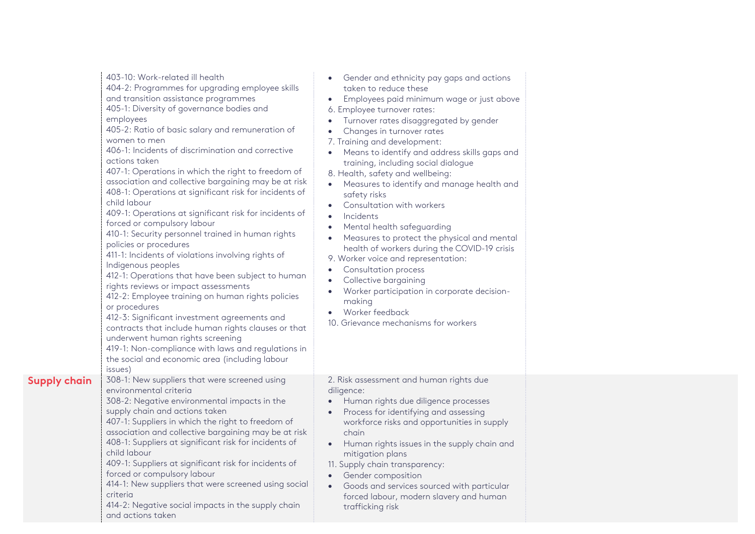|                     | 403-10: Work-related ill health<br>404-2: Programmes for upgrading employee skills<br>and transition assistance programmes<br>405-1: Diversity of governance bodies and<br>employees<br>405-2: Ratio of basic salary and remuneration of<br>women to men<br>406-1: Incidents of discrimination and corrective<br>actions taken<br>407-1: Operations in which the right to freedom of<br>association and collective bargaining may be at risk<br>408-1: Operations at significant risk for incidents of<br>child labour<br>409-1: Operations at significant risk for incidents of<br>forced or compulsory labour<br>410-1: Security personnel trained in human rights<br>policies or procedures<br>411-1: Incidents of violations involving rights of<br>Indigenous peoples<br>412-1: Operations that have been subject to human<br>rights reviews or impact assessments<br>412-2: Employee training on human rights policies<br>or procedures<br>412-3: Significant investment agreements and<br>contracts that include human rights clauses or that<br>underwent human rights screening<br>419-1: Non-compliance with laws and regulations in<br>the social and economic area (including labour<br>issues) | Gender and ethnicity pay gaps and actions<br>taken to reduce these<br>Employees paid minimum wage or just above<br>$\bullet$<br>6. Employee turnover rates:<br>Turnover rates disaggregated by gender<br>$\bullet$<br>Changes in turnover rates<br>7. Training and development:<br>Means to identify and address skills gaps and<br>$\bullet$<br>training, including social dialogue<br>8. Health, safety and wellbeing:<br>Measures to identify and manage health and<br>$\bullet$<br>safety risks<br>Consultation with workers<br>$\bullet$<br>Incidents<br>$\bullet$<br>Mental health safeguarding<br>Measures to protect the physical and mental<br>$\bullet$<br>health of workers during the COVID-19 crisis<br>9. Worker voice and representation:<br><b>Consultation process</b><br>$\bullet$<br>Collective bargaining<br>$\bullet$<br>Worker participation in corporate decision-<br>$\bullet$<br>making<br>Worker feedback<br>10. Grievance mechanisms for workers |  |
|---------------------|-------------------------------------------------------------------------------------------------------------------------------------------------------------------------------------------------------------------------------------------------------------------------------------------------------------------------------------------------------------------------------------------------------------------------------------------------------------------------------------------------------------------------------------------------------------------------------------------------------------------------------------------------------------------------------------------------------------------------------------------------------------------------------------------------------------------------------------------------------------------------------------------------------------------------------------------------------------------------------------------------------------------------------------------------------------------------------------------------------------------------------------------------------------------------------------------------------------|-----------------------------------------------------------------------------------------------------------------------------------------------------------------------------------------------------------------------------------------------------------------------------------------------------------------------------------------------------------------------------------------------------------------------------------------------------------------------------------------------------------------------------------------------------------------------------------------------------------------------------------------------------------------------------------------------------------------------------------------------------------------------------------------------------------------------------------------------------------------------------------------------------------------------------------------------------------------------------|--|
| <b>Supply chain</b> | 308-1: New suppliers that were screened using<br>environmental criteria<br>308-2: Negative environmental impacts in the<br>supply chain and actions taken<br>407-1: Suppliers in which the right to freedom of<br>association and collective bargaining may be at risk<br>408-1: Suppliers at significant risk for incidents of<br>child labour<br>409-1: Suppliers at significant risk for incidents of<br>forced or compulsory labour<br>414-1: New suppliers that were screened using social<br>criteria<br>414-2: Negative social impacts in the supply chain<br>and actions taken                                                                                                                                                                                                                                                                                                                                                                                                                                                                                                                                                                                                                      | 2. Risk assessment and human rights due<br>diligence:<br>• Human rights due diligence processes<br>Process for identifying and assessing<br>workforce risks and opportunities in supply<br>chain<br>Human rights issues in the supply chain and<br>$\bullet$<br>mitigation plans<br>11. Supply chain transparency:<br>• Gender composition<br>Goods and services sourced with particular<br>$\bullet$<br>forced labour, modern slavery and human<br>trafficking risk                                                                                                                                                                                                                                                                                                                                                                                                                                                                                                        |  |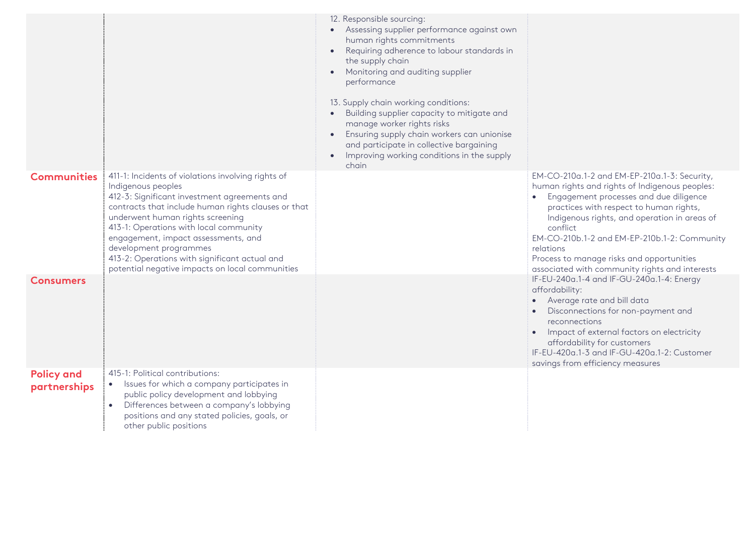|                                   |                                                                                                                                                                                                                                                                                                                                                                                                                                    | 12. Responsible sourcing:<br>• Assessing supplier performance against own<br>human rights commitments<br>Requiring adherence to labour standards in<br>the supply chain<br>Monitoring and auditing supplier<br>performance<br>13. Supply chain working conditions:<br>Building supplier capacity to mitigate and<br>manage worker rights risks<br>Ensuring supply chain workers can unionise<br>and participate in collective bargaining<br>Improving working conditions in the supply<br>$\bullet$<br>chain |                                                                                                                                                                                                                                                                                                                                                                                                               |
|-----------------------------------|------------------------------------------------------------------------------------------------------------------------------------------------------------------------------------------------------------------------------------------------------------------------------------------------------------------------------------------------------------------------------------------------------------------------------------|--------------------------------------------------------------------------------------------------------------------------------------------------------------------------------------------------------------------------------------------------------------------------------------------------------------------------------------------------------------------------------------------------------------------------------------------------------------------------------------------------------------|---------------------------------------------------------------------------------------------------------------------------------------------------------------------------------------------------------------------------------------------------------------------------------------------------------------------------------------------------------------------------------------------------------------|
| <b>Communities</b>                | 411-1: Incidents of violations involving rights of<br>Indigenous peoples<br>412-3: Significant investment agreements and<br>contracts that include human rights clauses or that<br>underwent human rights screening<br>413-1: Operations with local community<br>engagement, impact assessments, and<br>development programmes<br>413-2: Operations with significant actual and<br>potential negative impacts on local communities |                                                                                                                                                                                                                                                                                                                                                                                                                                                                                                              | EM-CO-210a.1-2 and EM-EP-210a.1-3: Security,<br>human rights and rights of Indigenous peoples:<br>• Engagement processes and due diligence<br>practices with respect to human rights,<br>Indigenous rights, and operation in areas of<br>conflict<br>EM-CO-210b.1-2 and EM-EP-210b.1-2: Community<br>relations<br>Process to manage risks and opportunities<br>associated with community rights and interests |
| <b>Consumers</b>                  |                                                                                                                                                                                                                                                                                                                                                                                                                                    |                                                                                                                                                                                                                                                                                                                                                                                                                                                                                                              | IF-EU-240a.1-4 and IF-GU-240a.1-4: Energy<br>affordability:<br>• Average rate and bill data<br>Disconnections for non-payment and<br>reconnections<br>• Impact of external factors on electricity<br>affordability for customers<br>IF-EU-420a.1-3 and IF-GU-420a.1-2: Customer<br>savings from efficiency measures                                                                                           |
| <b>Policy and</b><br>partnerships | 415-1: Political contributions:<br>• Issues for which a company participates in<br>public policy development and lobbying<br>Differences between a company's lobbying<br>$\bullet$<br>positions and any stated policies, goals, or<br>other public positions                                                                                                                                                                       |                                                                                                                                                                                                                                                                                                                                                                                                                                                                                                              |                                                                                                                                                                                                                                                                                                                                                                                                               |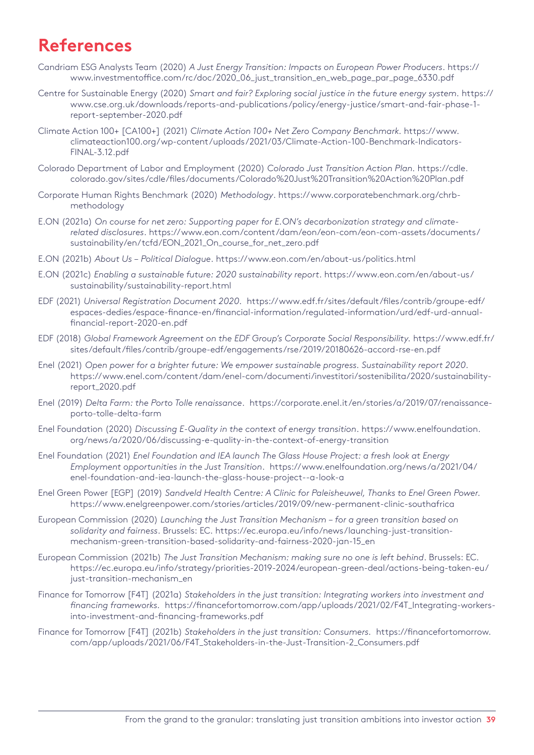## <span id="page-38-0"></span>**References**

- Candriam ESG Analysts Team (2020) *A Just Energy Transition: Impacts on European Power Producers*. [https://](https://www.investmentoffice.com/rc/doc/2020_06_just_transition_en_web_page_par_page_6330.pdf) [www.investmentoffice.com/rc/doc/2020\\_06\\_just\\_transition\\_en\\_web\\_page\\_par\\_page\\_6330.pdf](https://www.investmentoffice.com/rc/doc/2020_06_just_transition_en_web_page_par_page_6330.pdf)
- Centre for Sustainable Energy (2020) *Smart and fair? Exploring social justice in the future energy system.* [https://](https://www.cse.org.uk/downloads/reports-and-publications/policy/energy-justice/smart-and-fair-phase-1-report-september-2020.pdf) [www.cse.org.uk/downloads/reports-and-publications/policy/energy-justice/smart-and-fair-phase-1](https://www.cse.org.uk/downloads/reports-and-publications/policy/energy-justice/smart-and-fair-phase-1-report-september-2020.pdf) [report-september-2020.pdf](https://www.cse.org.uk/downloads/reports-and-publications/policy/energy-justice/smart-and-fair-phase-1-report-september-2020.pdf)
- Climate Action 100+ [CA100+] (2021) *Climate Action 100+ Net Zero Company Benchmark.* [https://www.](https://www.climateaction100.org/wp-content/uploads/2021/03/Climate-Action-100-Benchmark-Indicators-FINAL-3.12.pdf) [climateaction100.org/wp-content/uploads/2021/03/Climate-Action-100-Benchmark-Indicators-](https://www.climateaction100.org/wp-content/uploads/2021/03/Climate-Action-100-Benchmark-Indicators-FINAL-3.12.pdf)[FINAL-3.12.pdf](https://www.climateaction100.org/wp-content/uploads/2021/03/Climate-Action-100-Benchmark-Indicators-FINAL-3.12.pdf)
- Colorado Department of Labor and Employment (2020) *Colorado Just Transition Action Plan.* [https://cdle.](https://cdle.colorado.gov/sites/cdle/files/documents/Colorado%20Just%20Transition%20Action%20Plan.pdf ) [colorado.gov/sites/cdle/files/documents/Colorado%20Just%20Transition%20Action%20Plan.pdf](https://cdle.colorado.gov/sites/cdle/files/documents/Colorado%20Just%20Transition%20Action%20Plan.pdf )
- Corporate Human Rights Benchmark (2020) *Methodology*. [https://www.corporatebenchmark.org/chrb](https://www.corporatebenchmark.org/chrb-methodology)[methodology](https://www.corporatebenchmark.org/chrb-methodology)
- E.ON (2021a) *On course for net zero: Supporting paper for E.ON's decarbonization strategy and climaterelated disclosures*. [https://www.eon.com/content/dam/eon/eon-com/eon-com-assets/documents/](https://www.eon.com/content/dam/eon/eon-com/eon-com-assets/documents/sustainability/en/tcfd/EON_2021_On_course_for_net_zero.pdf) [sustainability/en/tcfd/EON\\_2021\\_On\\_course\\_for\\_net\\_zero.pdf](https://www.eon.com/content/dam/eon/eon-com/eon-com-assets/documents/sustainability/en/tcfd/EON_2021_On_course_for_net_zero.pdf)
- E.ON (2021b) *About Us – Political Dialogue*. <https://www.eon.com/en/about-us/politics.html>
- E.ON (2021c) *Enabling a sustainable future: 2020 sustainability report*. [https://www.eon.com/en/about-us/](https://www.eon.com/en/about-us/sustainability/sustainability-report.html) [sustainability/sustainability-report.html](https://www.eon.com/en/about-us/sustainability/sustainability-report.html)
- EDF (2021) *Universal Registration Document 2020.* [https://www.edf.fr/sites/default/files/contrib/groupe-edf/](https://www.edf.fr/sites/default/files/contrib/groupe-edf/espaces-dedies/espace-finance-en/financial-information/regulated-information/urd/edf-urd-annual-financial-report-2020-en.pdf) [espaces-dedies/espace-finance-en/financial-information/regulated-information/urd/edf-urd-annual](https://www.edf.fr/sites/default/files/contrib/groupe-edf/espaces-dedies/espace-finance-en/financial-information/regulated-information/urd/edf-urd-annual-financial-report-2020-en.pdf)[financial-report-2020-en.pdf](https://www.edf.fr/sites/default/files/contrib/groupe-edf/espaces-dedies/espace-finance-en/financial-information/regulated-information/urd/edf-urd-annual-financial-report-2020-en.pdf)
- EDF (2018) *Global Framework Agreement on the EDF Group's Corporate Social Responsibility.* [https://www.edf.fr/](https://www.edf.fr/sites/default/files/contrib/groupe-edf/engagements/rse/2019/20180626-accord-rse-en.pdf) [sites/default/files/contrib/groupe-edf/engagements/rse/2019/20180626-accord-rse-en.pdf](https://www.edf.fr/sites/default/files/contrib/groupe-edf/engagements/rse/2019/20180626-accord-rse-en.pdf)
- Enel (2021) *Open power for a brighter future: We empower sustainable progress. Sustainability report 2020.*  [https://www.enel.com/content/dam/enel-com/documenti/investitori/sostenibilita/2020/sustainability](https://www.enel.com/content/dam/enel-com/documenti/investitori/sostenibilita/2020/sustainability-report_2020.pdf)[report\\_2020.pdf](https://www.enel.com/content/dam/enel-com/documenti/investitori/sostenibilita/2020/sustainability-report_2020.pdf)
- Enel (2019) *Delta Farm: the Porto Tolle renaissance*. [https://corporate.enel.it/en/stories/a/2019/07/renaissance](https://corporate.enel.it/en/stories/a/2019/07/renaissance-porto-tolle-delta-farm)[porto-tolle-delta-farm](https://corporate.enel.it/en/stories/a/2019/07/renaissance-porto-tolle-delta-farm)
- Enel Foundation (2020) *Discussing E-Quality in the context of energy transition*. [https://www.enelfoundation.](https://www.enelfoundation.org/news/a/2020/06/discussing-e-quality-in-the-context-of-energy-transition ) [org/news/a/2020/06/discussing-e-quality-in-the-context-of-energy-transition](https://www.enelfoundation.org/news/a/2020/06/discussing-e-quality-in-the-context-of-energy-transition )
- Enel Foundation (2021) *Enel Foundation and IEA launch The Glass House Project: a fresh look at Energy Employment opportunities in the Just Transition*. [https://www.enelfoundation.org/news/a/2021/04/](https://www.enelfoundation.org/news/a/2021/04/enel-foundation-and-iea-launch-the-glass-house-project--a-look-a) [enel-foundation-and-iea-launch-the-glass-house-project--a-look-a](https://www.enelfoundation.org/news/a/2021/04/enel-foundation-and-iea-launch-the-glass-house-project--a-look-a)
- Enel Green Power [EGP] (2019) *Sandveld Health Centre: A Clinic for Paleisheuwel, Thanks to Enel Green Power.* <https://www.enelgreenpower.com/stories/articles/2019/09/new-permanent-clinic-southafrica>
- European Commission (2020) *Launching the Just Transition Mechanism for a green transition based on solidarity and fairness*. Brussels: EC. [https://ec.europa.eu/info/news/launching-just-transition](https://ec.europa.eu/info/news/launching-just-transition-mechanism-green-transition-based-solidarity-and-fairness-2020-jan-15_en)[mechanism-green-transition-based-solidarity-and-fairness-2020-jan-15\\_en](https://ec.europa.eu/info/news/launching-just-transition-mechanism-green-transition-based-solidarity-and-fairness-2020-jan-15_en)
- European Commission (2021b) *The Just Transition Mechanism: making sure no one is left behind*. Brussels: EC. [https://ec.europa.eu/info/strategy/priorities-2019-2024/european-green-deal/actions-being-taken-eu/](https://ec.europa.eu/info/strategy/priorities-2019-2024/european-green-deal/actions-being-taken-eu/just-transition-mechanism_en) [just-transition-mechanism\\_en](https://ec.europa.eu/info/strategy/priorities-2019-2024/european-green-deal/actions-being-taken-eu/just-transition-mechanism_en)
- Finance for Tomorrow [F4T] (2021a) *Stakeholders in the just transition: Integrating workers into investment and financing frameworks.* [https://financefortomorrow.com/app/uploads/2021/02/F4T\\_Integrating-workers](https://financefortomorrow.com/app/uploads/2021/02/F4T_Integrating-workers-into-investment-and-financing-frameworks.pdf)[into-investment-and-financing-frameworks.pdf](https://financefortomorrow.com/app/uploads/2021/02/F4T_Integrating-workers-into-investment-and-financing-frameworks.pdf)
- Finance for Tomorrow [F4T] (2021b) *Stakeholders in the just transition: Consumers.* [https://financefortomorrow.](https://financefortomorrow.com/app/uploads/2021/06/F4T_Stakeholders-in-the-Just-Transition-2_Consumers.pdf) [com/app/uploads/2021/06/F4T\\_Stakeholders-in-the-Just-Transition-2\\_Consumers.pdf](https://financefortomorrow.com/app/uploads/2021/06/F4T_Stakeholders-in-the-Just-Transition-2_Consumers.pdf)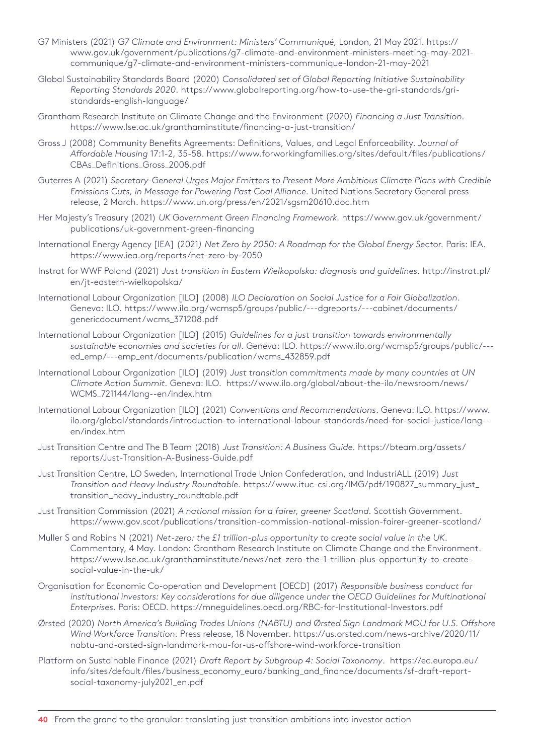- G7 Ministers (2021) *G7 Climate and Environment: Ministers' Communiqué,* London, 21 May 2021. [https://](https://www.gov.uk/government/publications/g7-climate-and-environment-ministers-meeting-may-2021-communique/g7-climate-and-environment-ministers-communique-london-21-may-2021) [www.gov.uk/government/publications/g7-climate-and-environment-ministers-meeting-may-2021](https://www.gov.uk/government/publications/g7-climate-and-environment-ministers-meeting-may-2021-communique/g7-climate-and-environment-ministers-communique-london-21-may-2021) [communique/g7-climate-and-environment-ministers-communique-london-21-may-2021](https://www.gov.uk/government/publications/g7-climate-and-environment-ministers-meeting-may-2021-communique/g7-climate-and-environment-ministers-communique-london-21-may-2021)
- Global Sustainability Standards Board (2020) *Consolidated set of Global Reporting Initiative Sustainability Reporting Standards 2020.* [https://www.globalreporting.org/how-to-use-the-gri-standards/gri](https://www.globalreporting.org/how-to-use-the-gri-standards/gri-standards-english-language/ )[standards-english-language/](https://www.globalreporting.org/how-to-use-the-gri-standards/gri-standards-english-language/ )
- Grantham Research Institute on Climate Change and the Environment (2020) *Financing a Just Transition.* <https://www.lse.ac.uk/granthaminstitute/financing-a-just-transition/>
- Gross J (2008) Community Benefits Agreements: Definitions, Values, and Legal Enforceability. *Journal of Affordable Housing* 17:1-2, 35-58. [https://www.forworkingfamilies.org/sites/default/files/publications/](https://www.forworkingfamilies.org/sites/default/files/publications/CBAs_Definitions_Gross_2008.pdf ) [CBAs\\_Definitions\\_Gross\\_2008.pdf](https://www.forworkingfamilies.org/sites/default/files/publications/CBAs_Definitions_Gross_2008.pdf )
- Guterres A (2021) *Secretary-General Urges Major Emitters to Present More Ambitious Climate Plans with Credible Emissions Cuts, in Message for Powering Past Coal Alliance.* United Nations Secretary General press release, 2 March. <https://www.un.org/press/en/2021/sgsm20610.doc.htm>
- Her Majesty's Treasury (2021) *UK Government Green Financing Framework.* [https://www.gov.uk/government/](https://www.gov.uk/government/publications/uk-government-green-financing) [publications/uk-government-green-financing](https://www.gov.uk/government/publications/uk-government-green-financing)
- International Energy Agency [IEA] (2021*) Net Zero by 2050: A Roadmap for the Global Energy Sector.* Paris: IEA. [https://www.iea.org/reports/net-zero-by-2050](https://www.iea.org/reports/net-zero-by-2050 )
- Instrat for WWF Poland (2021) *Just transition in Eastern Wielkopolska: diagnosis and guidelines.* [http://instrat.pl/](http://instrat.pl/en/jt-eastern-wielkopolska/  ) [en/jt-eastern-wielkopolska/](http://instrat.pl/en/jt-eastern-wielkopolska/  )
- International Labour Organization [ILO] (2008) *ILO Declaration on Social Justice for a Fair Globalization*. Geneva: ILO. [https://www.ilo.org/wcmsp5/groups/public/---dgreports/---cabinet/documents/](https://www.ilo.org/wcmsp5/groups/public/---dgreports/---cabinet/documents/genericdocument/wcms_371208.pdf) [genericdocument/wcms\\_371208.pdf](https://www.ilo.org/wcmsp5/groups/public/---dgreports/---cabinet/documents/genericdocument/wcms_371208.pdf)
- International Labour Organization [ILO] (2015) *Guidelines for a just transition towards environmentally sustainable economies and societies for all*. Geneva: ILO. [https://www.ilo.org/wcmsp5/groups/public/--](https://www.ilo.org/wcmsp5/groups/public/---ed_emp/---emp_ent/documents/publication/wcms_432859.pdf) [ed\\_emp/---emp\\_ent/documents/publication/wcms\\_432859.pdf](https://www.ilo.org/wcmsp5/groups/public/---ed_emp/---emp_ent/documents/publication/wcms_432859.pdf)
- International Labour Organization [ILO] (2019) *Just transition commitments made by many countries at UN Climate Action Summit.* Geneva: ILO. [https://www.ilo.org/global/about-the-ilo/newsroom/news/](https://www.ilo.org/global/about-the-ilo/newsroom/news/WCMS_721144/lang--en/index.htm) [WCMS\\_721144/lang--en/index.htm](https://www.ilo.org/global/about-the-ilo/newsroom/news/WCMS_721144/lang--en/index.htm)
- International Labour Organization [ILO] (2021) *Conventions and Recommendations*. Geneva: ILO. [https://www.](https://www.ilo.org/global/standards/introduction-to-international-labour-standards/need-for-social-justice/lang--en/index.htm) [ilo.org/global/standards/introduction-to-international-labour-standards/need-for-social-justice/lang-](https://www.ilo.org/global/standards/introduction-to-international-labour-standards/need-for-social-justice/lang--en/index.htm) [en/index.htm](https://www.ilo.org/global/standards/introduction-to-international-labour-standards/need-for-social-justice/lang--en/index.htm)
- Just Transition Centre and The B Team (2018) *Just Transition: A Business Guide.* [https://bteam.org/assets/](https://bteam.org/assets/reports/Just-Transition-A-Business-Guide.pdf ) [reports/Just-Transition-A-Business-Guide.pdf](https://bteam.org/assets/reports/Just-Transition-A-Business-Guide.pdf )
- Just Transition Centre, LO Sweden, International Trade Union Confederation, and IndustriALL (2019) *Just Transition and Heavy Industry Roundtable.* [https://www.ituc-csi.org/IMG/pdf/190827\\_summary\\_just\\_](https://www.ituc-csi.org/IMG/pdf/190827_summary_just_transition_heavy_industry_roundtable.pdf) [transition\\_heavy\\_industry\\_roundtable.pdf](https://www.ituc-csi.org/IMG/pdf/190827_summary_just_transition_heavy_industry_roundtable.pdf)
- Just Transition Commission (2021) *A national mission for a fairer, greener Scotland.* Scottish Government. <https://www.gov.scot/publications/transition-commission-national-mission-fairer-greener-scotland/>
- Muller S and Robins N (2021) *Net-zero: the £1 trillion-plus opportunity to create social value in the UK*. Commentary, 4 May. London: Grantham Research Institute on Climate Change and the Environment. [https://www.lse.ac.uk/granthaminstitute/news/net-zero-the-1-trillion-plus-opportunity-to-create](https://www.lse.ac.uk/granthaminstitute/news/net-zero-the-1-trillion-plus-opportunity-to-create-social-value-in-the-uk/)[social-value-in-the-uk/](https://www.lse.ac.uk/granthaminstitute/news/net-zero-the-1-trillion-plus-opportunity-to-create-social-value-in-the-uk/)
- Organisation for Economic Co-operation and Development [OECD] (2017) *Responsible business conduct for*  institutional investors: Key considerations for due diligence under the OECD Guidelines for Multinational *Enterprises.* Paris: OECD. [https://mneguidelines.oecd.org/RBC-for-Institutional-Investors.pdf](https://mneguidelines.oecd.org/RBC-for-Institutional-Investors.pdf )
- Ørsted (2020) *North America's Building Trades Unions (NABTU) and Ørsted Sign Landmark MOU for U.S. Offshore Wind Workforce Transition.* Press release, 18 November. [https://us.orsted.com/news-archive/2020/11/](https://us.orsted.com/news-archive/2020/11/nabtu-and-orsted-sign-landmark-mou-for-us-offshore-wind-workforce-transition ) [nabtu-and-orsted-sign-landmark-mou-for-us-offshore-wind-workforce-transition](https://us.orsted.com/news-archive/2020/11/nabtu-and-orsted-sign-landmark-mou-for-us-offshore-wind-workforce-transition )
- Platform on Sustainable Finance (2021) *Draft Report by Subgroup 4: Social Taxonomy*. [https://ec.europa.eu/](https://ec.europa.eu/info/sites/default/files/business_economy_euro/banking_and_finance/documents/sf-draft-report-social-taxonomy-july2021_en.pdf  ) [info/sites/default/files/business\\_economy\\_euro/banking\\_and\\_finance/documents/sf-draft-report](https://ec.europa.eu/info/sites/default/files/business_economy_euro/banking_and_finance/documents/sf-draft-report-social-taxonomy-july2021_en.pdf   )[social-taxonomy-july2021\\_en.pdf](https://ec.europa.eu/info/sites/default/files/business_economy_euro/banking_and_finance/documents/sf-draft-report-social-taxonomy-july2021_en.pdf   )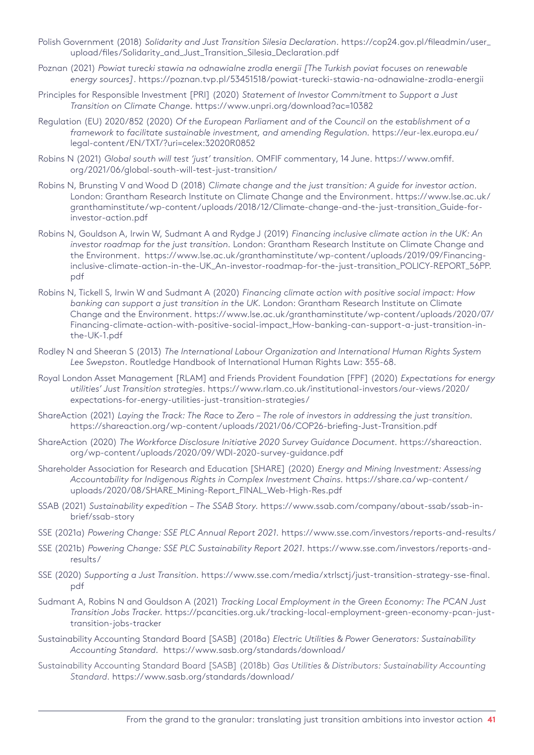- Polish Government (2018) *Solidarity and Just Transition Silesia Declaration*. [https://cop24.gov.pl/fileadmin/user\\_](https://cop24.gov.pl/fileadmin/user_upload/files/Solidarity_and_Just_Transition_Silesia_Declaration.pdf) [upload/files/Solidarity\\_and\\_Just\\_Transition\\_Silesia\\_Declaration.pdf](https://cop24.gov.pl/fileadmin/user_upload/files/Solidarity_and_Just_Transition_Silesia_Declaration.pdf)
- Poznan (2021) *Powiat turecki stawia na odnawialne zrodla energii [The Turkish poviat focuses on renewable energy sources]*. <https://poznan.tvp.pl/53451518/powiat-turecki-stawia-na-odnawialne-zrodla-energii>
- Principles for Responsible Investment [PRI] (2020) *Statement of Investor Commitment to Support a Just Transition on Climate Change.* <https://www.unpri.org/download?ac=10382>
- Regulation (EU) 2020/852 (2020) *Of the European Parliament and of the Council on the establishment of a framework to facilitate sustainable investment, and amending Regulation.* [https://eur-lex.europa.eu/](https://eur-lex.europa.eu/legal-content/EN/TXT/?uri=celex:32020R0852) [legal-content/EN/TXT/?uri=celex:32020R0852](https://eur-lex.europa.eu/legal-content/EN/TXT/?uri=celex:32020R0852)
- Robins N (2021) *Global south will test 'just' transition.* OMFIF commentary, 14 June. [https://www.omfif.](https://www.omfif.org/2021/06/global-south-will-test-just-transition/) [org/2021/06/global-south-will-test-just-transition/](https://www.omfif.org/2021/06/global-south-will-test-just-transition/)
- Robins N, Brunsting V and Wood D (2018) *Climate change and the just transition: A guide for investor action.*  London: Grantham Research Institute on Climate Change and the Environment. [https://www.lse.ac.uk/](https://www.lse.ac.uk/granthaminstitute/wp-content/uploads/2018/12/Climate-change-and-the-just-transition_Guide-for-investor-action.pdf) [granthaminstitute/wp-content/uploads/2018/12/Climate-change-and-the-just-transition\\_Guide-for](https://www.lse.ac.uk/granthaminstitute/wp-content/uploads/2018/12/Climate-change-and-the-just-transition_Guide-for-investor-action.pdf)[investor-action.pdf](https://www.lse.ac.uk/granthaminstitute/wp-content/uploads/2018/12/Climate-change-and-the-just-transition_Guide-for-investor-action.pdf)
- Robins N, Gouldson A, Irwin W, Sudmant A and Rydge J (2019) *Financing inclusive climate action in the UK: An investor roadmap for the just transition.* London: Grantham Research Institute on Climate Change and the Environment. [https://www.lse.ac.uk/granthaminstitute/wp-content/uploads/2019/09/Financing](https://www.lse.ac.uk/granthaminstitute/wp-content/uploads/2019/09/Financing-inclusive-climate-action-in-the-UK_An-investor-roadmap-for-the-just-transition_POLICY-REPORT_56PP.pdf)[inclusive-climate-action-in-the-UK\\_An-investor-roadmap-for-the-just-transition\\_POLICY-REPORT\\_56PP.](https://www.lse.ac.uk/granthaminstitute/wp-content/uploads/2019/09/Financing-inclusive-climate-action-in-the-UK_An-investor-roadmap-for-the-just-transition_POLICY-REPORT_56PP.pdf) [pdf](https://www.lse.ac.uk/granthaminstitute/wp-content/uploads/2019/09/Financing-inclusive-climate-action-in-the-UK_An-investor-roadmap-for-the-just-transition_POLICY-REPORT_56PP.pdf)
- Robins N, Tickell S, Irwin W and Sudmant A (2020) *Financing climate action with positive social impact: How banking can support a just transition in the UK.* London: Grantham Research Institute on Climate Change and the Environment. [https://www](https://www.lse.ac.uk/granthaminstitute/wp-content/uploads/2020/07/Financing-climate-action-with-positive-social-impact_How-banking-can-support-a-just-transition-in-the-UK-1.pdf
).lse.ac.uk/granthaminstitute/wp-content/uploads/2020/07/ Financing-climate-action-with-positive-social-impact\_How-banking-can-support-a-just-transition-inthe-UK-1.pdf
- Rodley N and Sheeran S (2013) *The International Labour Organization and International Human Rights System Lee Swepston*. Routledge Handbook of International Human Rights Law: 355-68.
- Royal London Asset Management [RLAM] and Friends Provident Foundation [FPF] (2020) *Expectations for energy utilities' Just Transition strategies*. [https://www.rlam.co.uk/institutional-investors/our-views/2020/](https://www.rlam.co.uk/institutional-investors/our-views/2020/expectations-for-energy-utilities-just-transition-strategies/) [expectations-for-energy-utilities-just-transition-strategies/](https://www.rlam.co.uk/institutional-investors/our-views/2020/expectations-for-energy-utilities-just-transition-strategies/)
- ShareAction (2021) *Laying the Track: The Race to Zero The role of investors in addressing the just transition.* [https://shareaction](https://shareaction.org/wp-content/uploads/2021/06/COP26-briefing-Just-Transition.pdf).org/wp-content/uploads/2021/06/COP26-briefing-Just-Transition.pdf
- ShareAction (2020) *The Workforce Disclosure Initiative 2020 Survey Guidance Document.* [https://shareaction](https://shareaction.org/wp-content/uploads/2020/09/WDI-2020-survey-guidance.pdf). org/wp-content/uploads/2020/09/WDI-2020-survey-guidance.pdf
- Shareholder Association for Research and Education [SHARE] (2020) *Energy and Mining Investment: Assessing Accountability for Indigenous Rights in Complex Investment Chains.* [https://share.ca/wp-content/](https://share.ca/wp-content/uploads/2020/08/SHARE_Mining-Report_FINAL_Web-High-Res.pdf) [uploads/2020/08/SHARE\\_Mining-Report\\_FINAL\\_Web-High-Res.pdf](https://share.ca/wp-content/uploads/2020/08/SHARE_Mining-Report_FINAL_Web-High-Res.pdf)
- SSAB (2021) *Sustainability expedition The SSAB Story.* [https://www.ssab.com/company/about-ssab/ssab-in](https://www.ssab.com/company/about-ssab/ssab-in-brief/ssab-story)[brief/ssab-story](https://www.ssab.com/company/about-ssab/ssab-in-brief/ssab-story)
- SSE (2021a) *Powering Change: SSE PLC Annual Report 2021.* [https://www.sse.com/investors/reports-and-results/](https://www.sse.com/investors/reports-and-results/ )
- SSE (2021b) *Powering Change: SSE PLC Sustainability Report 2021.* [https://www.sse.com/investors/reports-and](https://www.sse.com/investors/reports-and-results/ )[results/](https://www.sse.com/investors/reports-and-results/ )
- SSE (2020) *Supporting a Just Transition.* [https://www.sse.com/media/xtrlsctj/just-transition-strategy-sse-final.](https://www.sse.com/media/xtrlsctj/just-transition-strategy-sse-final.pdf) [pdf](https://www.sse.com/media/xtrlsctj/just-transition-strategy-sse-final.pdf)
- Sudmant A, Robins N and Gouldson A (2021) *Tracking Local Employment in the Green Economy: The PCAN Just Transition Jobs Tracker.* [https://pcancities.org.uk/tracking-local-employment-green-economy-pcan-just](https://pcancities.org.uk/tracking-local-employment-green-economy-pcan-just-transition-jobs-tracker)[transition-jobs-tracker](https://pcancities.org.uk/tracking-local-employment-green-economy-pcan-just-transition-jobs-tracker)
- Sustainability Accounting Standard Board [SASB] (2018a) *Electric Utilities & Power Generators: Sustainability Accounting Standard.* <https://www.sasb.org/standards/download/>
- Sustainability Accounting Standard Board [SASB] (2018b) *Gas Utilities & Distributors: Sustainability Accounting Standard.* [https://www.sasb.org/standards/download/](https://www.sasb.org/standards/download/ )